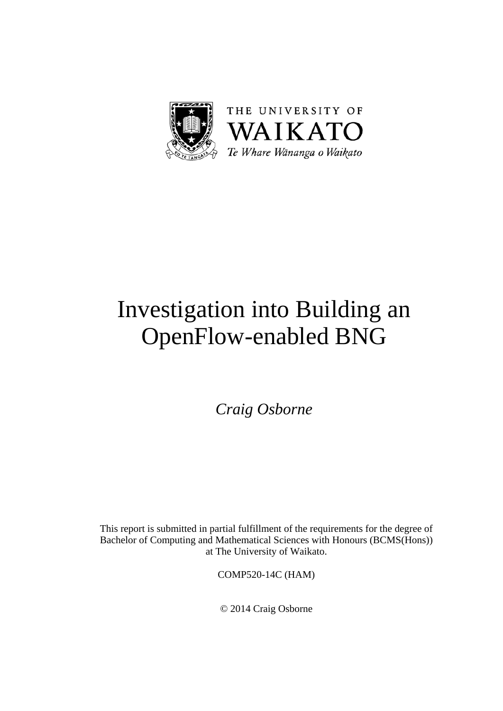

# Investigation into Building an OpenFlow-enabled BNG

*Craig Osborne* 

This report is submitted in partial fulfillment of the requirements for the degree of Bachelor of Computing and Mathematical Sciences with Honours (BCMS(Hons)) at The University of Waikato.

COMP520-14C (HAM)

© 2014 Craig Osborne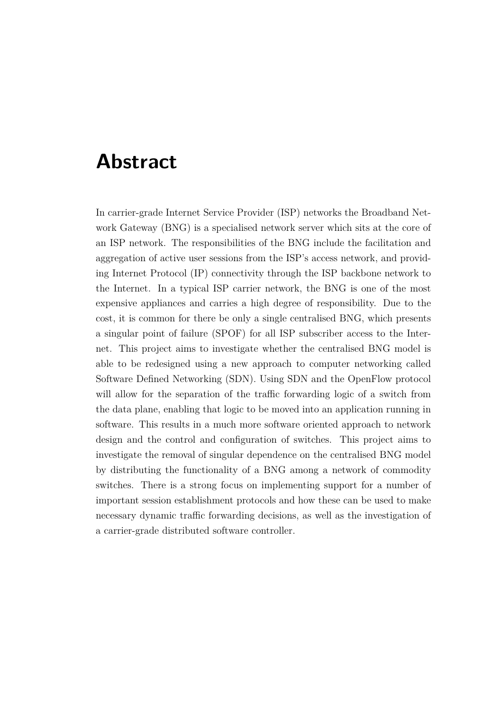### **Abstract**

<span id="page-2-0"></span>In carrier-grade Internet Service Provider (ISP) networks the Broadband Network Gateway (BNG) is a specialised network server which sits at the core of an ISP network. The responsibilities of the BNG include the facilitation and aggregation of active user sessions from the ISP's access network, and providing Internet Protocol (IP) connectivity through the ISP backbone network to the Internet. In a typical ISP carrier network, the BNG is one of the most expensive appliances and carries a high degree of responsibility. Due to the cost, it is common for there be only a single centralised BNG, which presents a singular point of failure (SPOF) for all ISP subscriber access to the Internet. This project aims to investigate whether the centralised BNG model is able to be redesigned using a new approach to computer networking called Software Defined Networking (SDN). Using SDN and the OpenFlow protocol will allow for the separation of the traffic forwarding logic of a switch from the data plane, enabling that logic to be moved into an application running in software. This results in a much more software oriented approach to network design and the control and configuration of switches. This project aims to investigate the removal of singular dependence on the centralised BNG model by distributing the functionality of a BNG among a network of commodity switches. There is a strong focus on implementing support for a number of important session establishment protocols and how these can be used to make necessary dynamic traffic forwarding decisions, as well as the investigation of a carrier-grade distributed software controller.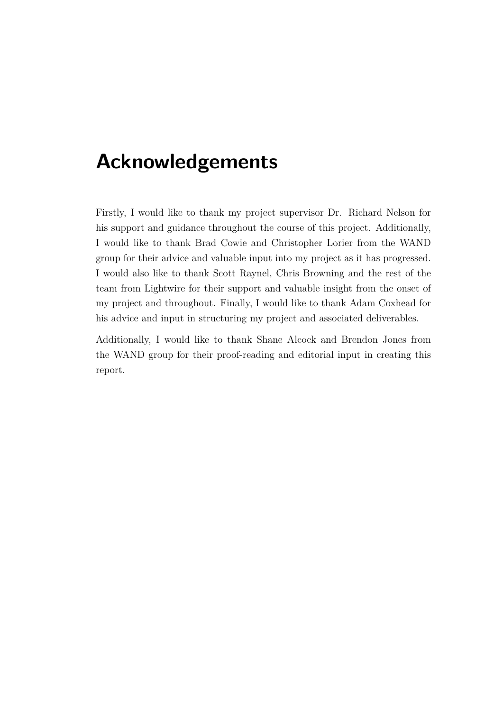### **Acknowledgements**

<span id="page-3-0"></span>Firstly, I would like to thank my project supervisor Dr. Richard Nelson for his support and guidance throughout the course of this project. Additionally, I would like to thank Brad Cowie and Christopher Lorier from the WAND group for their advice and valuable input into my project as it has progressed. I would also like to thank Scott Raynel, Chris Browning and the rest of the team from Lightwire for their support and valuable insight from the onset of my project and throughout. Finally, I would like to thank Adam Coxhead for his advice and input in structuring my project and associated deliverables.

Additionally, I would like to thank Shane Alcock and Brendon Jones from the WAND group for their proof-reading and editorial input in creating this report.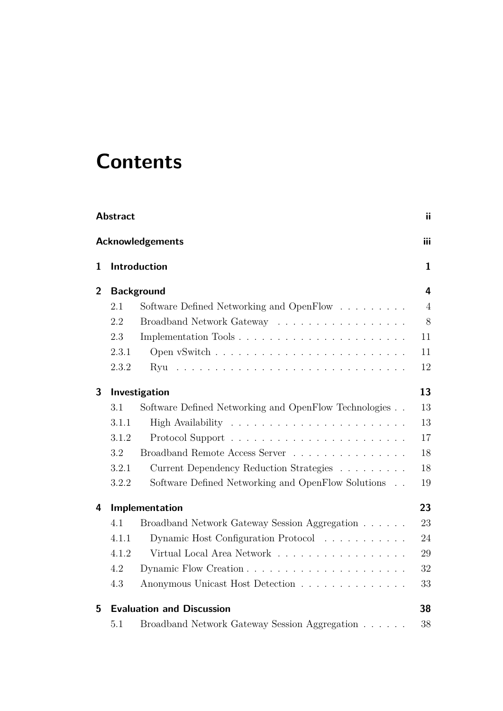## **Contents**

|                | <b>Abstract</b> |                                                       | ii             |
|----------------|-----------------|-------------------------------------------------------|----------------|
|                |                 | <b>Acknowledgements</b>                               | iii            |
| 1              |                 | Introduction                                          | $\mathbf{1}$   |
| $\overline{2}$ |                 | <b>Background</b>                                     | 4              |
|                | 2.1             | Software Defined Networking and OpenFlow              | $\overline{4}$ |
|                | 2.2             | Broadband Network Gateway                             | 8              |
|                | 2.3             |                                                       | 11             |
|                | 2.3.1           |                                                       | 11             |
|                | 2.3.2           | Ryu                                                   | 12             |
| 3              |                 | Investigation                                         | 13             |
|                | 3.1             | Software Defined Networking and OpenFlow Technologies | 13             |
|                | 3.1.1           |                                                       | 13             |
|                | 3.1.2           |                                                       | 17             |
|                | 3.2             | Broadband Remote Access Server                        | 18             |
|                | 3.2.1           | Current Dependency Reduction Strategies               | 18             |
|                | 3.2.2           | Software Defined Networking and OpenFlow Solutions    | 19             |
| 4              |                 | Implementation                                        | 23             |
|                | 4.1             | Broadband Network Gateway Session Aggregation         | 23             |
|                | 4.1.1           | Dynamic Host Configuration Protocol                   | 24             |
|                | 4.1.2           | Virtual Local Area Network                            | 29             |
|                | 4.2             | Dynamic Flow Creation                                 | 32             |
|                | 4.3             | Anonymous Unicast Host Detection                      | 33             |
| 5              |                 | <b>Evaluation and Discussion</b>                      | 38             |
|                | 5.1             | Broadband Network Gateway Session Aggregation         | 38             |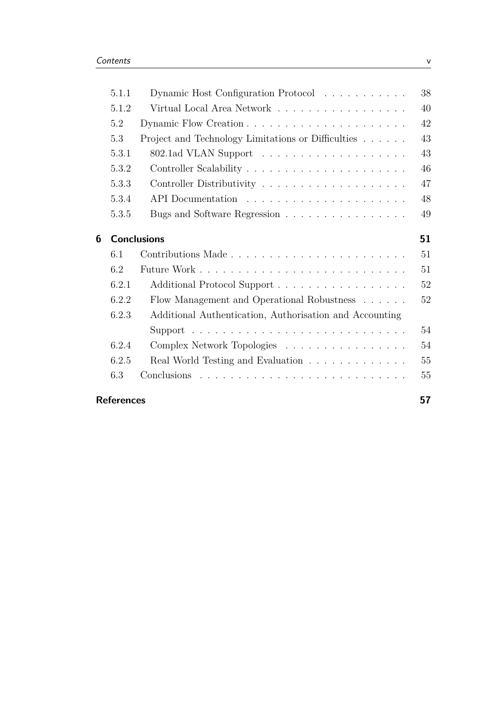|                         | 5.1.1             | Dynamic Host Configuration Protocol                     | 38 |  |
|-------------------------|-------------------|---------------------------------------------------------|----|--|
|                         | 5.1.2             | Virtual Local Area Network                              | 40 |  |
|                         | 5.2               |                                                         | 42 |  |
|                         | 5.3               | Project and Technology Limitations or Difficulties      | 43 |  |
|                         | 5.3.1             |                                                         | 43 |  |
|                         | 5.3.2             |                                                         | 46 |  |
|                         | 5.3.3             |                                                         | 47 |  |
|                         | 5.3.4             |                                                         | 48 |  |
|                         | 5.3.5             | Bugs and Software Regression                            | 49 |  |
| <b>Conclusions</b><br>6 |                   |                                                         |    |  |
|                         | 6.1               |                                                         | 51 |  |
|                         | 6.2               |                                                         | 51 |  |
|                         | 6.2.1             | Additional Protocol Support                             | 52 |  |
|                         | 6.2.2             | Flow Management and Operational Robustness              | 52 |  |
|                         | 6.2.3             | Additional Authentication, Authorisation and Accounting |    |  |
|                         |                   |                                                         | 54 |  |
|                         | 6.2.4             | Complex Network Topologies                              | 54 |  |
|                         | 6.2.5             | Real World Testing and Evaluation                       | 55 |  |
|                         | 6.3               |                                                         | 55 |  |
|                         | <b>References</b> |                                                         | 57 |  |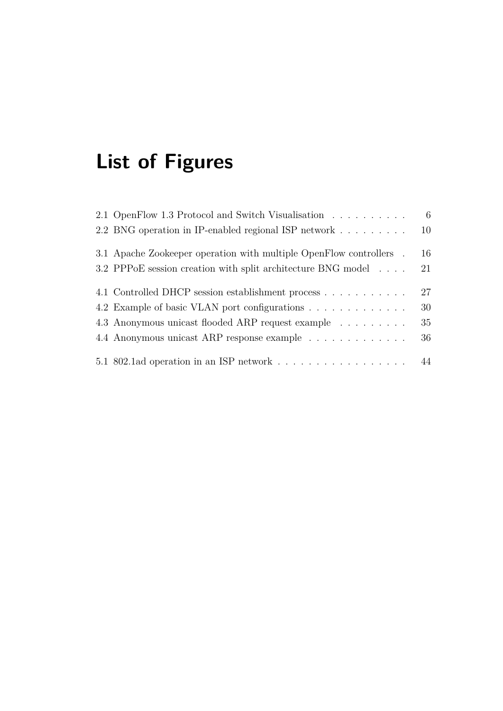# **List of Figures**

| 2.1 OpenFlow 1.3 Protocol and Switch Visualisation                                     | 6  |
|----------------------------------------------------------------------------------------|----|
| 2.2 BNG operation in IP-enabled regional ISP network                                   | 10 |
| 3.1 Apache Zookeeper operation with multiple OpenFlow controllers.                     | 16 |
| 3.2 PPPoE session creation with split architecture BNG model                           | 21 |
| 4.1 Controlled DHCP session establishment process                                      | 27 |
| 4.2 Example of basic VLAN port configurations                                          | 30 |
| 4.3 Anonymous unicast flooded ARP request example                                      | 35 |
| 4.4 Anonymous unicast ARP response example                                             | 36 |
| 5.1 802.1ad operation in an ISP network $\dots \dots \dots \dots \dots \dots \dots$ 44 |    |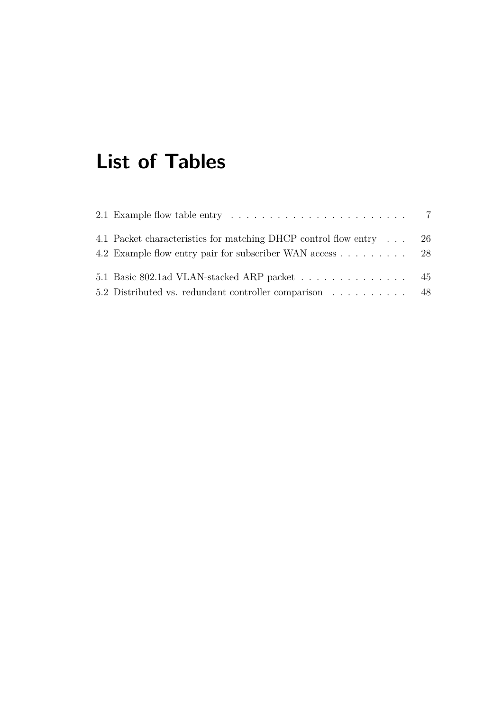# **List of Tables**

| 2.1 Example flow table entry $\dots \dots \dots \dots \dots \dots \dots \dots \dots$ 7 |  |
|----------------------------------------------------------------------------------------|--|
| 4.1 Packet characteristics for matching DHCP control flow entry 26                     |  |
| 4.2 Example flow entry pair for subscriber WAN access 28                               |  |
| 5.1 Basic 802.1ad VLAN-stacked ARP packet 45                                           |  |
| 5.2 Distributed vs. redundant controller comparison 48                                 |  |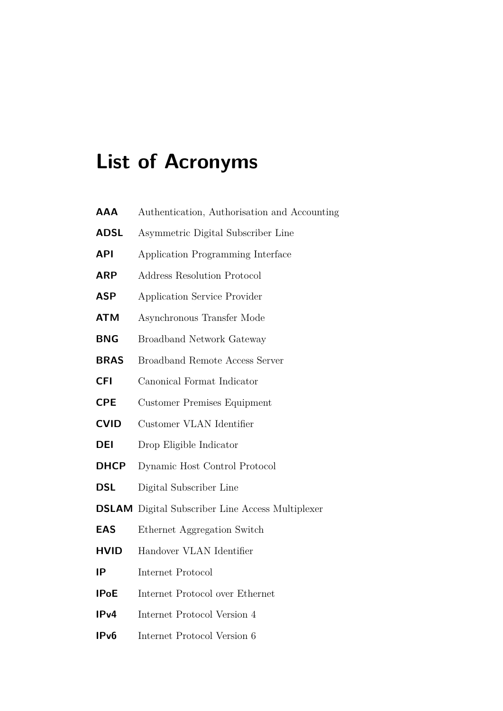# **List of Acronyms**

| AAA                                               | Authentication, Authorisation and Accounting            |  |  |  |  |
|---------------------------------------------------|---------------------------------------------------------|--|--|--|--|
| <b>ADSL</b>                                       | Asymmetric Digital Subscriber Line                      |  |  |  |  |
| <b>API</b>                                        | Application Programming Interface                       |  |  |  |  |
| <b>ARP</b>                                        | <b>Address Resolution Protocol</b>                      |  |  |  |  |
| <b>ASP</b><br><b>Application Service Provider</b> |                                                         |  |  |  |  |
| <b>ATM</b>                                        | Asynchronous Transfer Mode                              |  |  |  |  |
| <b>BNG</b><br><b>Broadband Network Gateway</b>    |                                                         |  |  |  |  |
| <b>BRAS</b>                                       | Broadband Remote Access Server                          |  |  |  |  |
| <b>CFI</b>                                        | Canonical Format Indicator                              |  |  |  |  |
| <b>CPE</b>                                        | Customer Premises Equipment                             |  |  |  |  |
| <b>CVID</b>                                       | Customer VLAN Identifier                                |  |  |  |  |
| <b>DEI</b>                                        | Drop Eligible Indicator                                 |  |  |  |  |
| <b>DHCP</b>                                       | Dynamic Host Control Protocol                           |  |  |  |  |
| <b>DSL</b>                                        | Digital Subscriber Line                                 |  |  |  |  |
|                                                   | <b>DSLAM</b> Digital Subscriber Line Access Multiplexer |  |  |  |  |
| <b>EAS</b>                                        | Ethernet Aggregation Switch                             |  |  |  |  |
| <b>HVID</b>                                       | Handover VLAN Identifier                                |  |  |  |  |
| IP                                                | Internet Protocol                                       |  |  |  |  |
| <b>IPoE</b>                                       | Internet Protocol over Ethernet                         |  |  |  |  |
| IPv4                                              | Internet Protocol Version 4                             |  |  |  |  |
| IP <sub>v</sub> 6                                 | Internet Protocol Version 6                             |  |  |  |  |
|                                                   |                                                         |  |  |  |  |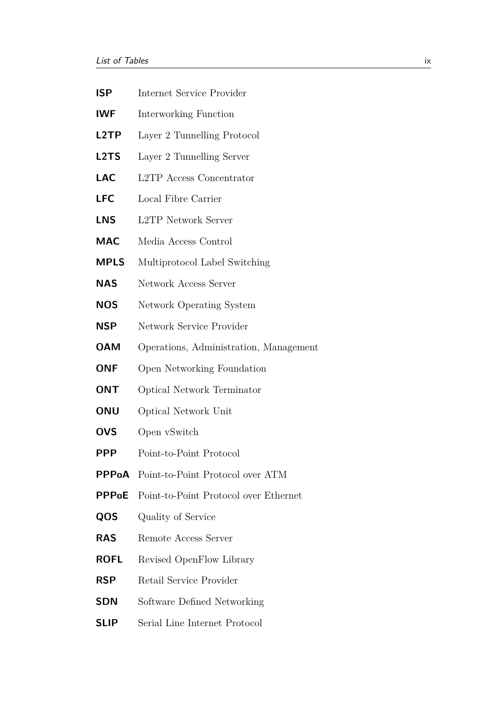- **ISP** Internet Service Provider **IWF** Interworking Function **L2TP** Layer 2 Tunnelling Protocol
- **L2TS** Layer 2 Tunnelling Server
- **LAC** L2TP Access Concentrator
- **LFC** Local Fibre Carrier
- **LNS** L2TP Network Server
- **MAC** Media Access Control
- **MPLS** Multiprotocol Label Switching
- **NAS** Network Access Server
- **NOS** Network Operating System
- **NSP** Network Service Provider
- **OAM** Operations, Administration, Management
- **ONF** Open Networking Foundation
- **ONT** Optical Network Terminator
- **ONU** Optical Network Unit
- **OVS** Open vSwitch
- **PPP** Point-to-Point Protocol
- **PPPoA** Point-to-Point Protocol over ATM
- **PPPoE** Point-to-Point Protocol over Ethernet
- **QOS** Quality of Service
- **RAS** Remote Access Server
- **ROFL** Revised OpenFlow Library
- **RSP** Retail Service Provider
- **SDN** Software Defined Networking
- **SLIP** Serial Line Internet Protocol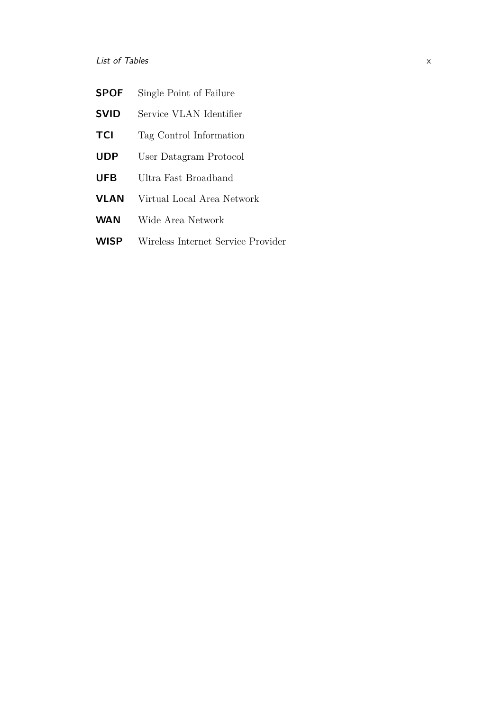| <b>SPOF</b> |  |  |  | Single Point of Failure |
|-------------|--|--|--|-------------------------|
|-------------|--|--|--|-------------------------|

- **SVID** Service VLAN Identifier
- **TCI** Tag Control Information
- **UDP** User Datagram Protocol
- **UFB** Ultra Fast Broadband
- **VLAN** Virtual Local Area Network
- **WAN** Wide Area Network
- **WISP** Wireless Internet Service Provider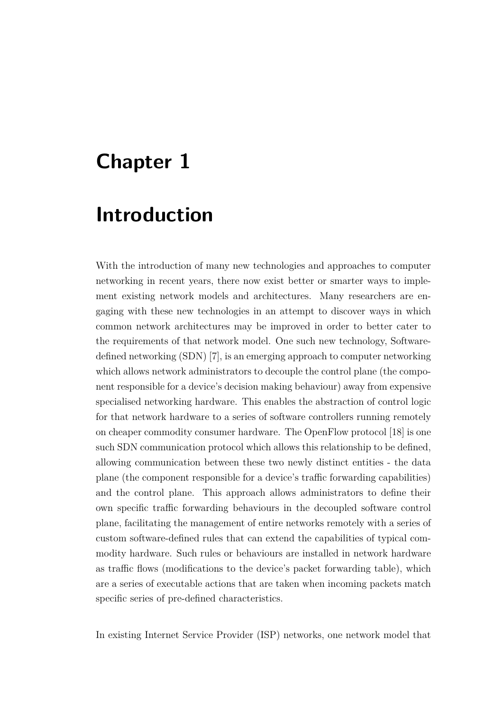## <span id="page-12-0"></span>**Chapter 1**

### **Introduction**

With the introduction of many new technologies and approaches to computer networking in recent years, there now exist better or smarter ways to implement existing network models and architectures. Many researchers are engaging with these new technologies in an attempt to discover ways in which common network architectures may be improved in order to better cater to the requirements of that network model. One such new technology, Softwaredefined networking (SDN) [\[7\]](#page-68-1), is an emerging approach to computer networking which allows network administrators to decouple the control plane (the component responsible for a device's decision making behaviour) away from expensive specialised networking hardware. This enables the abstraction of control logic for that network hardware to a series of software controllers running remotely on cheaper commodity consumer hardware. The OpenFlow protocol [\[18\]](#page-69-0) is one such SDN communication protocol which allows this relationship to be defined, allowing communication between these two newly distinct entities - the data plane (the component responsible for a device's traffic forwarding capabilities) and the control plane. This approach allows administrators to define their own specific traffic forwarding behaviours in the decoupled software control plane, facilitating the management of entire networks remotely with a series of custom software-defined rules that can extend the capabilities of typical commodity hardware. Such rules or behaviours are installed in network hardware as traffic flows (modifications to the device's packet forwarding table), which are a series of executable actions that are taken when incoming packets match specific series of pre-defined characteristics.

In existing Internet Service Provider (ISP) networks, one network model that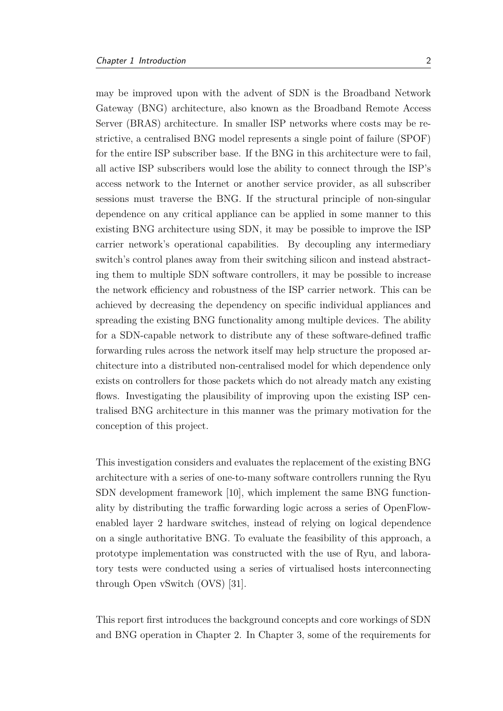may be improved upon with the advent of SDN is the Broadband Network Gateway (BNG) architecture, also known as the Broadband Remote Access Server (BRAS) architecture. In smaller ISP networks where costs may be restrictive, a centralised BNG model represents a single point of failure (SPOF) for the entire ISP subscriber base. If the BNG in this architecture were to fail, all active ISP subscribers would lose the ability to connect through the ISP's access network to the Internet or another service provider, as all subscriber sessions must traverse the BNG. If the structural principle of non-singular dependence on any critical appliance can be applied in some manner to this existing BNG architecture using SDN, it may be possible to improve the ISP carrier network's operational capabilities. By decoupling any intermediary switch's control planes away from their switching silicon and instead abstracting them to multiple SDN software controllers, it may be possible to increase the network efficiency and robustness of the ISP carrier network. This can be achieved by decreasing the dependency on specific individual appliances and spreading the existing BNG functionality among multiple devices. The ability for a SDN-capable network to distribute any of these software-defined traffic forwarding rules across the network itself may help structure the proposed architecture into a distributed non-centralised model for which dependence only exists on controllers for those packets which do not already match any existing flows. Investigating the plausibility of improving upon the existing ISP centralised BNG architecture in this manner was the primary motivation for the conception of this project.

This investigation considers and evaluates the replacement of the existing BNG architecture with a series of one-to-many software controllers running the Ryu SDN development framework [\[10\]](#page-69-1), which implement the same BNG functionality by distributing the traffic forwarding logic across a series of OpenFlowenabled layer 2 hardware switches, instead of relying on logical dependence on a single authoritative BNG. To evaluate the feasibility of this approach, a prototype implementation was constructed with the use of Ryu, and laboratory tests were conducted using a series of virtualised hosts interconnecting through Open vSwitch (OVS) [\[31\]](#page-71-0).

This report first introduces the background concepts and core workings of SDN and BNG operation in Chapter 2. In Chapter 3, some of the requirements for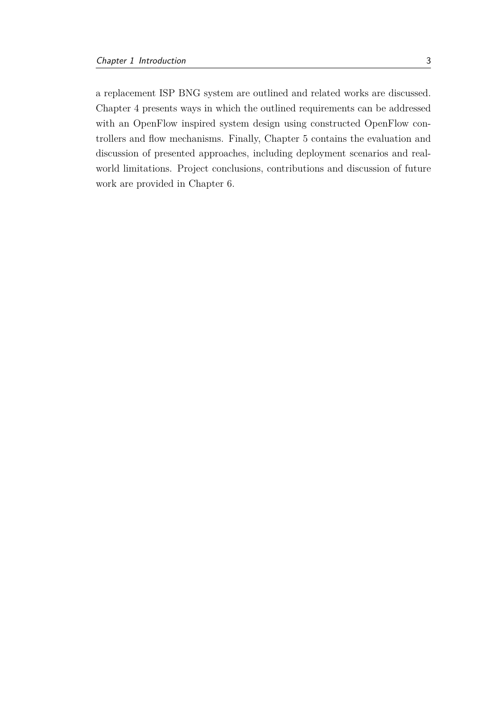a replacement ISP BNG system are outlined and related works are discussed. Chapter 4 presents ways in which the outlined requirements can be addressed with an OpenFlow inspired system design using constructed OpenFlow controllers and flow mechanisms. Finally, Chapter 5 contains the evaluation and discussion of presented approaches, including deployment scenarios and realworld limitations. Project conclusions, contributions and discussion of future work are provided in Chapter 6.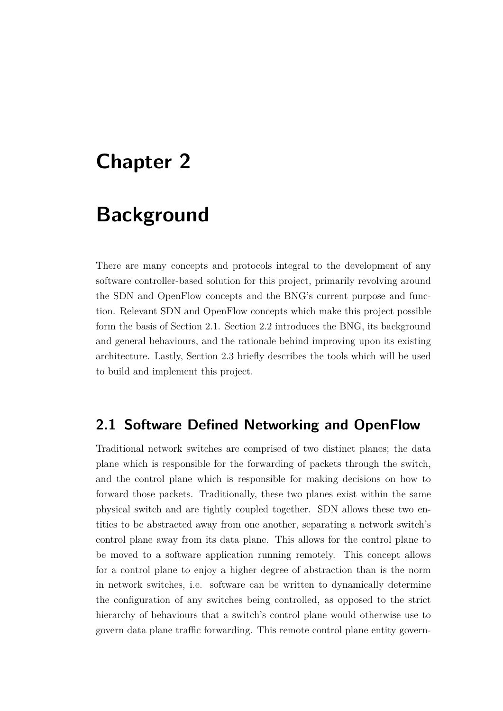## <span id="page-15-0"></span>**Chapter 2**

## **Background**

There are many concepts and protocols integral to the development of any software controller-based solution for this project, primarily revolving around the SDN and OpenFlow concepts and the BNG's current purpose and function. Relevant SDN and OpenFlow concepts which make this project possible form the basis of Section [2.1.](#page-15-1) Section [2.2](#page-19-0) introduces the BNG, its background and general behaviours, and the rationale behind improving upon its existing architecture. Lastly, Section [2.3](#page-22-0) briefly describes the tools which will be used to build and implement this project.

### <span id="page-15-1"></span>**2.1 Software Defined Networking and OpenFlow**

Traditional network switches are comprised of two distinct planes; the data plane which is responsible for the forwarding of packets through the switch, and the control plane which is responsible for making decisions on how to forward those packets. Traditionally, these two planes exist within the same physical switch and are tightly coupled together. SDN allows these two entities to be abstracted away from one another, separating a network switch's control plane away from its data plane. This allows for the control plane to be moved to a software application running remotely. This concept allows for a control plane to enjoy a higher degree of abstraction than is the norm in network switches, i.e. software can be written to dynamically determine the configuration of any switches being controlled, as opposed to the strict hierarchy of behaviours that a switch's control plane would otherwise use to govern data plane traffic forwarding. This remote control plane entity govern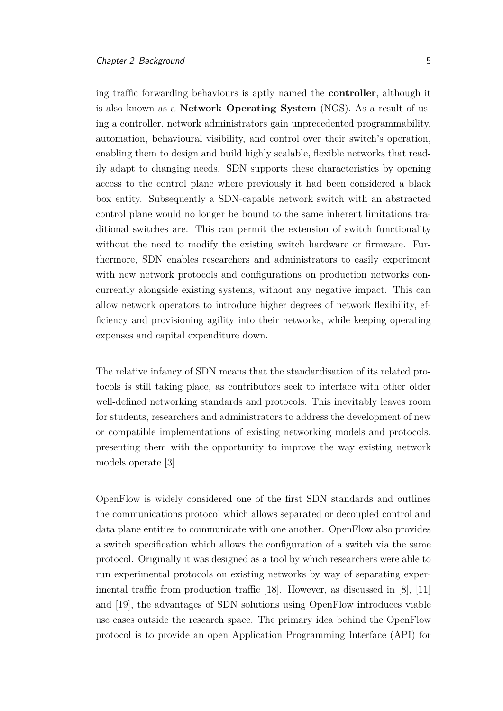ing traffic forwarding behaviours is aptly named the **controller**, although it is also known as a **Network Operating System** (NOS). As a result of using a controller, network administrators gain unprecedented programmability, automation, behavioural visibility, and control over their switch's operation, enabling them to design and build highly scalable, flexible networks that readily adapt to changing needs. SDN supports these characteristics by opening access to the control plane where previously it had been considered a black box entity. Subsequently a SDN-capable network switch with an abstracted control plane would no longer be bound to the same inherent limitations traditional switches are. This can permit the extension of switch functionality without the need to modify the existing switch hardware or firmware. Furthermore, SDN enables researchers and administrators to easily experiment with new network protocols and configurations on production networks concurrently alongside existing systems, without any negative impact. This can allow network operators to introduce higher degrees of network flexibility, efficiency and provisioning agility into their networks, while keeping operating expenses and capital expenditure down.

The relative infancy of SDN means that the standardisation of its related protocols is still taking place, as contributors seek to interface with other older well-defined networking standards and protocols. This inevitably leaves room for students, researchers and administrators to address the development of new or compatible implementations of existing networking models and protocols, presenting them with the opportunity to improve the way existing network models operate [\[3\]](#page-68-2).

OpenFlow is widely considered one of the first SDN standards and outlines the communications protocol which allows separated or decoupled control and data plane entities to communicate with one another. OpenFlow also provides a switch specification which allows the configuration of a switch via the same protocol. Originally it was designed as a tool by which researchers were able to run experimental protocols on existing networks by way of separating experimental traffic from production traffic [\[18\]](#page-69-0). However, as discussed in [\[8\]](#page-68-3), [\[11\]](#page-69-2) and [\[19\]](#page-70-0), the advantages of SDN solutions using OpenFlow introduces viable use cases outside the research space. The primary idea behind the OpenFlow protocol is to provide an open Application Programming Interface (API) for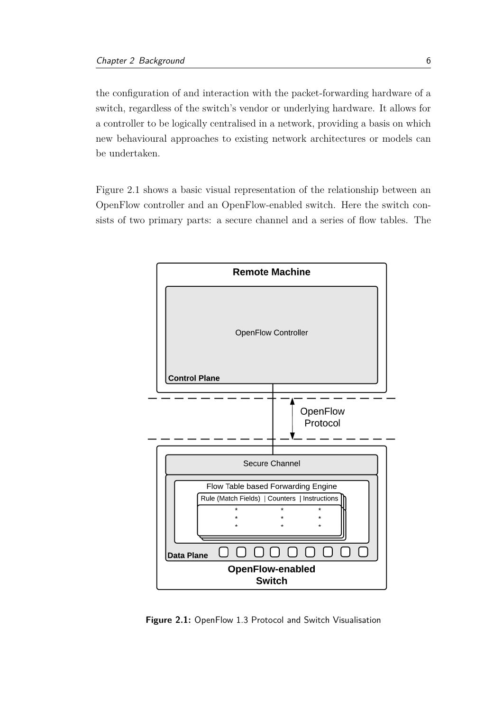the configuration of and interaction with the packet-forwarding hardware of a switch, regardless of the switch's vendor or underlying hardware. It allows for a controller to be logically centralised in a network, providing a basis on which new behavioural approaches to existing network architectures or models can be undertaken.

Figure [2.1](#page-17-0) shows a basic visual representation of the relationship between an OpenFlow controller and an OpenFlow-enabled switch. Here the switch consists of two primary parts: a secure channel and a series of flow tables. The

<span id="page-17-0"></span>

**Figure 2.1:** OpenFlow 1.3 Protocol and Switch Visualisation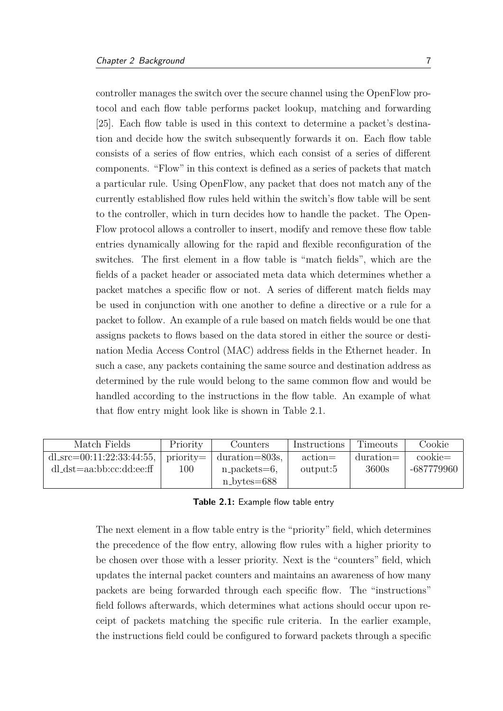controller manages the switch over the secure channel using the OpenFlow protocol and each flow table performs packet lookup, matching and forwarding [\[25\]](#page-70-1). Each flow table is used in this context to determine a packet's destination and decide how the switch subsequently forwards it on. Each flow table consists of a series of flow entries, which each consist of a series of different components. "Flow" in this context is defined as a series of packets that match a particular rule. Using OpenFlow, any packet that does not match any of the currently established flow rules held within the switch's flow table will be sent to the controller, which in turn decides how to handle the packet. The Open-Flow protocol allows a controller to insert, modify and remove these flow table entries dynamically allowing for the rapid and flexible reconfiguration of the switches. The first element in a flow table is "match fields", which are the fields of a packet header or associated meta data which determines whether a packet matches a specific flow or not. A series of different match fields may be used in conjunction with one another to define a directive or a rule for a packet to follow. An example of a rule based on match fields would be one that assigns packets to flows based on the data stored in either the source or destination Media Access Control (MAC) address fields in the Ethernet header. In such a case, any packets containing the same source and destination address as determined by the rule would belong to the same common flow and would be handled according to the instructions in the flow table. An example of what that flow entry might look like is shown in Table [2.1.](#page-18-0)

<span id="page-18-0"></span>

| Match Fields                                  | Priority | Counters                     | Instructions      | <b>Timeouts</b> | Cookie             |
|-----------------------------------------------|----------|------------------------------|-------------------|-----------------|--------------------|
| dl_src=00:11:22:33:44:55,   priority= $\vert$ |          | $\frac{1}{2}$ duration=803s. | $\text{action} =$ | $duration =$    | $\mathrm{cookie}=$ |
| $dl\_dst = aa:bbccc:dd:ee:ff$                 | 100      | $n$ -packets=6,              | output:5          | 3600s           | -687779960         |
|                                               |          | $n_bytes=688$                |                   |                 |                    |

#### **Table 2.1:** Example flow table entry

The next element in a flow table entry is the "priority" field, which determines the precedence of the flow entry, allowing flow rules with a higher priority to be chosen over those with a lesser priority. Next is the "counters" field, which updates the internal packet counters and maintains an awareness of how many packets are being forwarded through each specific flow. The "instructions" field follows afterwards, which determines what actions should occur upon receipt of packets matching the specific rule criteria. In the earlier example, the instructions field could be configured to forward packets through a specific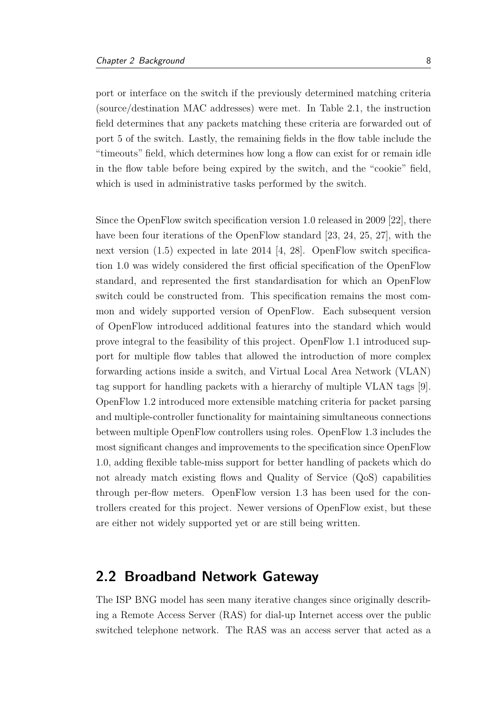port or interface on the switch if the previously determined matching criteria (source/destination MAC addresses) were met. In Table [2.1,](#page-18-0) the instruction field determines that any packets matching these criteria are forwarded out of port 5 of the switch. Lastly, the remaining fields in the flow table include the "timeouts" field, which determines how long a flow can exist for or remain idle in the flow table before being expired by the switch, and the "cookie" field, which is used in administrative tasks performed by the switch.

Since the OpenFlow switch specification version 1.0 released in 2009 [\[22\]](#page-70-2), there have been four iterations of the OpenFlow standard [\[23,](#page-70-3) [24,](#page-70-4) [25,](#page-70-1) [27\]](#page-70-5), with the next version (1.5) expected in late 2014 [\[4,](#page-68-4) [28\]](#page-70-6). OpenFlow switch specification 1.0 was widely considered the first official specification of the OpenFlow standard, and represented the first standardisation for which an OpenFlow switch could be constructed from. This specification remains the most common and widely supported version of OpenFlow. Each subsequent version of OpenFlow introduced additional features into the standard which would prove integral to the feasibility of this project. OpenFlow 1.1 introduced support for multiple flow tables that allowed the introduction of more complex forwarding actions inside a switch, and Virtual Local Area Network (VLAN) tag support for handling packets with a hierarchy of multiple VLAN tags [\[9\]](#page-69-3). OpenFlow 1.2 introduced more extensible matching criteria for packet parsing and multiple-controller functionality for maintaining simultaneous connections between multiple OpenFlow controllers using roles. OpenFlow 1.3 includes the most significant changes and improvements to the specification since OpenFlow 1.0, adding flexible table-miss support for better handling of packets which do not already match existing flows and Quality of Service (QoS) capabilities through per-flow meters. OpenFlow version 1.3 has been used for the controllers created for this project. Newer versions of OpenFlow exist, but these are either not widely supported yet or are still being written.

#### <span id="page-19-0"></span>**2.2 Broadband Network Gateway**

The ISP BNG model has seen many iterative changes since originally describing a Remote Access Server (RAS) for dial-up Internet access over the public switched telephone network. The RAS was an access server that acted as a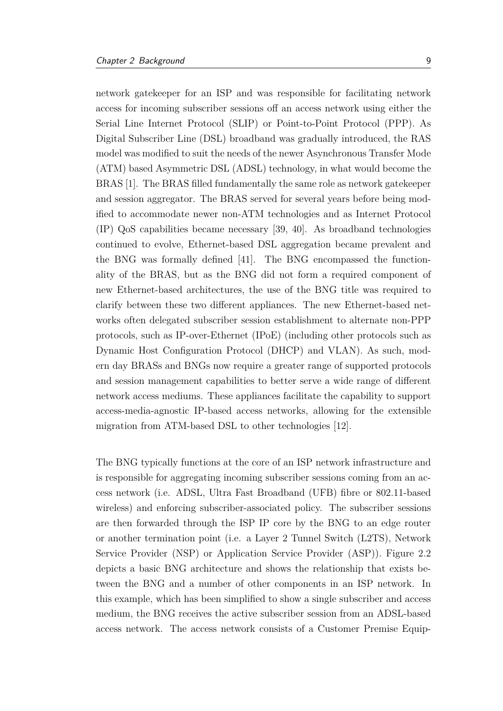network gatekeeper for an ISP and was responsible for facilitating network access for incoming subscriber sessions off an access network using either the Serial Line Internet Protocol (SLIP) or Point-to-Point Protocol (PPP). As Digital Subscriber Line (DSL) broadband was gradually introduced, the RAS model was modified to suit the needs of the newer Asynchronous Transfer Mode (ATM) based Asymmetric DSL (ADSL) technology, in what would become the BRAS [\[1\]](#page-68-0). The BRAS filled fundamentally the same role as network gatekeeper and session aggregator. The BRAS served for several years before being modified to accommodate newer non-ATM technologies and as Internet Protocol (IP) QoS capabilities became necessary [\[39,](#page-71-1) [40\]](#page-71-2). As broadband technologies continued to evolve, Ethernet-based DSL aggregation became prevalent and the BNG was formally defined [\[41\]](#page-71-3). The BNG encompassed the functionality of the BRAS, but as the BNG did not form a required component of new Ethernet-based architectures, the use of the BNG title was required to clarify between these two different appliances. The new Ethernet-based networks often delegated subscriber session establishment to alternate non-PPP protocols, such as IP-over-Ethernet (IPoE) (including other protocols such as Dynamic Host Configuration Protocol (DHCP) and VLAN). As such, modern day BRASs and BNGs now require a greater range of supported protocols and session management capabilities to better serve a wide range of different network access mediums. These appliances facilitate the capability to support access-media-agnostic IP-based access networks, allowing for the extensible migration from ATM-based DSL to other technologies [\[12\]](#page-69-4).

The BNG typically functions at the core of an ISP network infrastructure and is responsible for aggregating incoming subscriber sessions coming from an access network (i.e. ADSL, Ultra Fast Broadband (UFB) fibre or 802.11-based wireless) and enforcing subscriber-associated policy. The subscriber sessions are then forwarded through the ISP IP core by the BNG to an edge router or another termination point (i.e. a Layer 2 Tunnel Switch (L2TS), Network Service Provider (NSP) or Application Service Provider (ASP)). Figure [2.2](#page-21-0) depicts a basic BNG architecture and shows the relationship that exists between the BNG and a number of other components in an ISP network. In this example, which has been simplified to show a single subscriber and access medium, the BNG receives the active subscriber session from an ADSL-based access network. The access network consists of a Customer Premise Equip-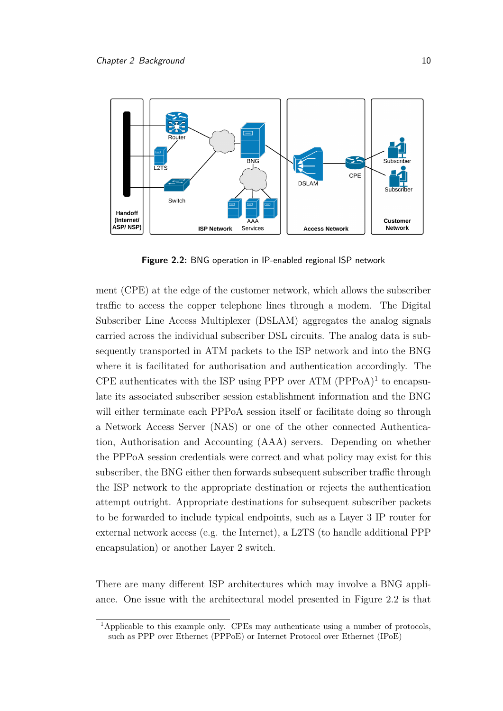<span id="page-21-0"></span>

**Figure 2.2:** BNG operation in IP-enabled regional ISP network

ment (CPE) at the edge of the customer network, which allows the subscriber traffic to access the copper telephone lines through a modem. The Digital Subscriber Line Access Multiplexer (DSLAM) aggregates the analog signals carried across the individual subscriber DSL circuits. The analog data is subsequently transported in ATM packets to the ISP network and into the BNG where it is facilitated for authorisation and authentication accordingly. The CPE authenticates with the ISP using PPP over ATM  $(PPPoA)^1$  $(PPPoA)^1$  to encapsulate its associated subscriber session establishment information and the BNG will either terminate each PPPoA session itself or facilitate doing so through a Network Access Server (NAS) or one of the other connected Authentication, Authorisation and Accounting (AAA) servers. Depending on whether the PPPoA session credentials were correct and what policy may exist for this subscriber, the BNG either then forwards subsequent subscriber traffic through the ISP network to the appropriate destination or rejects the authentication attempt outright. Appropriate destinations for subsequent subscriber packets to be forwarded to include typical endpoints, such as a Layer 3 IP router for external network access (e.g. the Internet), a L2TS (to handle additional PPP encapsulation) or another Layer 2 switch.

There are many different ISP architectures which may involve a BNG appliance. One issue with the architectural model presented in Figure [2.2](#page-21-0) is that

<span id="page-21-1"></span><sup>1</sup>Applicable to this example only. CPEs may authenticate using a number of protocols, such as PPP over Ethernet (PPPoE) or Internet Protocol over Ethernet (IPoE)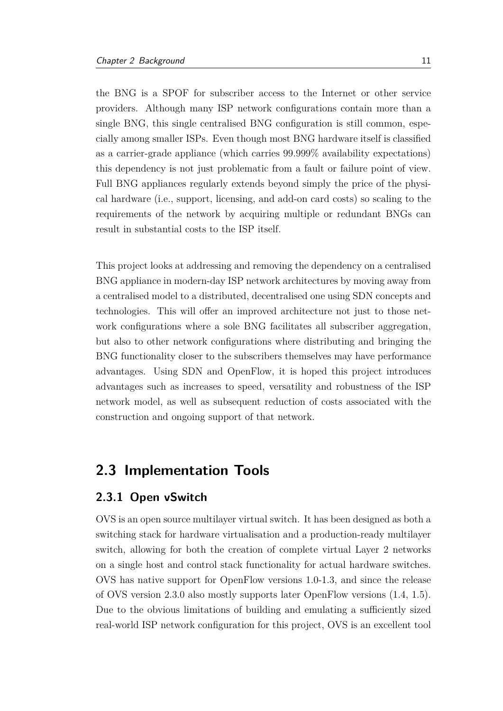the BNG is a SPOF for subscriber access to the Internet or other service providers. Although many ISP network configurations contain more than a single BNG, this single centralised BNG configuration is still common, especially among smaller ISPs. Even though most BNG hardware itself is classified as a carrier-grade appliance (which carries 99.999% availability expectations) this dependency is not just problematic from a fault or failure point of view. Full BNG appliances regularly extends beyond simply the price of the physical hardware (i.e., support, licensing, and add-on card costs) so scaling to the requirements of the network by acquiring multiple or redundant BNGs can result in substantial costs to the ISP itself.

This project looks at addressing and removing the dependency on a centralised BNG appliance in modern-day ISP network architectures by moving away from a centralised model to a distributed, decentralised one using SDN concepts and technologies. This will offer an improved architecture not just to those network configurations where a sole BNG facilitates all subscriber aggregation, but also to other network configurations where distributing and bringing the BNG functionality closer to the subscribers themselves may have performance advantages. Using SDN and OpenFlow, it is hoped this project introduces advantages such as increases to speed, versatility and robustness of the ISP network model, as well as subsequent reduction of costs associated with the construction and ongoing support of that network.

### <span id="page-22-0"></span>**2.3 Implementation Tools**

#### <span id="page-22-1"></span>**2.3.1 Open vSwitch**

OVS is an open source multilayer virtual switch. It has been designed as both a switching stack for hardware virtualisation and a production-ready multilayer switch, allowing for both the creation of complete virtual Layer 2 networks on a single host and control stack functionality for actual hardware switches. OVS has native support for OpenFlow versions 1.0-1.3, and since the release of OVS version 2.3.0 also mostly supports later OpenFlow versions (1.4, 1.5). Due to the obvious limitations of building and emulating a sufficiently sized real-world ISP network configuration for this project, OVS is an excellent tool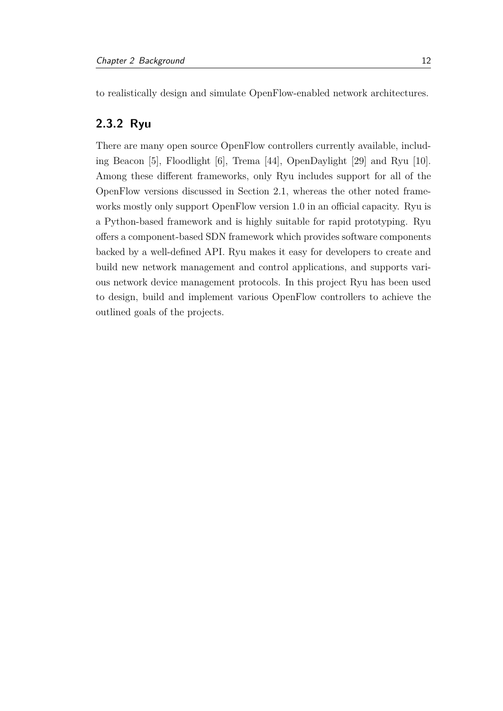to realistically design and simulate OpenFlow-enabled network architectures.

#### <span id="page-23-0"></span>**2.3.2 Ryu**

There are many open source OpenFlow controllers currently available, including Beacon [\[5\]](#page-68-5), Floodlight [\[6\]](#page-68-6), Trema [\[44\]](#page-72-0), OpenDaylight [\[29\]](#page-70-7) and Ryu [\[10\]](#page-69-1). Among these different frameworks, only Ryu includes support for all of the OpenFlow versions discussed in Section [2.1,](#page-15-1) whereas the other noted frameworks mostly only support OpenFlow version 1.0 in an official capacity. Ryu is a Python-based framework and is highly suitable for rapid prototyping. Ryu offers a component-based SDN framework which provides software components backed by a well-defined API. Ryu makes it easy for developers to create and build new network management and control applications, and supports various network device management protocols. In this project Ryu has been used to design, build and implement various OpenFlow controllers to achieve the outlined goals of the projects.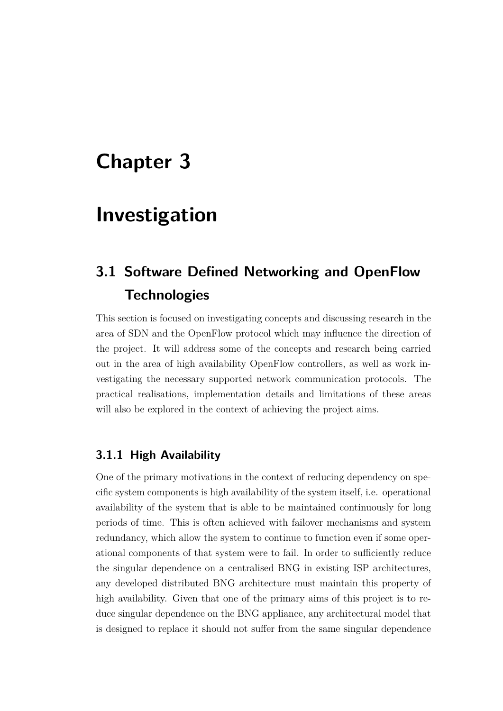## <span id="page-24-0"></span>**Chapter 3**

### **Investigation**

### <span id="page-24-1"></span>**3.1 Software Defined Networking and OpenFlow Technologies**

This section is focused on investigating concepts and discussing research in the area of SDN and the OpenFlow protocol which may influence the direction of the project. It will address some of the concepts and research being carried out in the area of high availability OpenFlow controllers, as well as work investigating the necessary supported network communication protocols. The practical realisations, implementation details and limitations of these areas will also be explored in the context of achieving the project aims.

#### <span id="page-24-2"></span>**3.1.1 High Availability**

One of the primary motivations in the context of reducing dependency on specific system components is high availability of the system itself, i.e. operational availability of the system that is able to be maintained continuously for long periods of time. This is often achieved with failover mechanisms and system redundancy, which allow the system to continue to function even if some operational components of that system were to fail. In order to sufficiently reduce the singular dependence on a centralised BNG in existing ISP architectures, any developed distributed BNG architecture must maintain this property of high availability. Given that one of the primary aims of this project is to reduce singular dependence on the BNG appliance, any architectural model that is designed to replace it should not suffer from the same singular dependence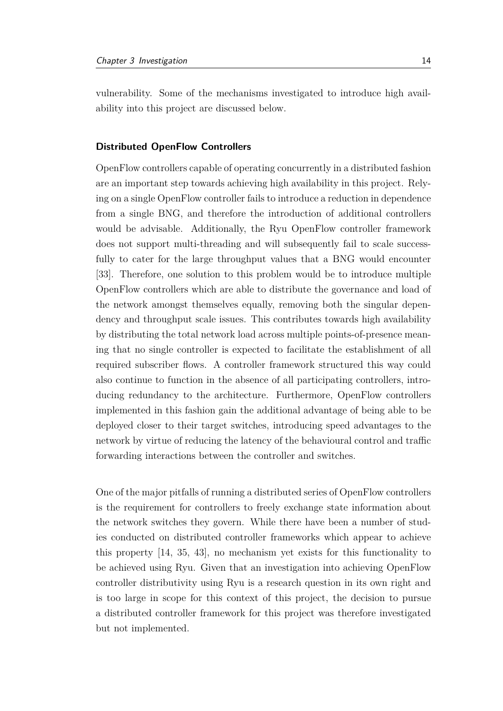vulnerability. Some of the mechanisms investigated to introduce high availability into this project are discussed below.

#### **Distributed OpenFlow Controllers**

OpenFlow controllers capable of operating concurrently in a distributed fashion are an important step towards achieving high availability in this project. Relying on a single OpenFlow controller fails to introduce a reduction in dependence from a single BNG, and therefore the introduction of additional controllers would be advisable. Additionally, the Ryu OpenFlow controller framework does not support multi-threading and will subsequently fail to scale successfully to cater for the large throughput values that a BNG would encounter [\[33\]](#page-71-4). Therefore, one solution to this problem would be to introduce multiple OpenFlow controllers which are able to distribute the governance and load of the network amongst themselves equally, removing both the singular dependency and throughput scale issues. This contributes towards high availability by distributing the total network load across multiple points-of-presence meaning that no single controller is expected to facilitate the establishment of all required subscriber flows. A controller framework structured this way could also continue to function in the absence of all participating controllers, introducing redundancy to the architecture. Furthermore, OpenFlow controllers implemented in this fashion gain the additional advantage of being able to be deployed closer to their target switches, introducing speed advantages to the network by virtue of reducing the latency of the behavioural control and traffic forwarding interactions between the controller and switches.

One of the major pitfalls of running a distributed series of OpenFlow controllers is the requirement for controllers to freely exchange state information about the network switches they govern. While there have been a number of studies conducted on distributed controller frameworks which appear to achieve this property [\[14,](#page-69-5) [35,](#page-71-5) [43\]](#page-72-1), no mechanism yet exists for this functionality to be achieved using Ryu. Given that an investigation into achieving OpenFlow controller distributivity using Ryu is a research question in its own right and is too large in scope for this context of this project, the decision to pursue a distributed controller framework for this project was therefore investigated but not implemented.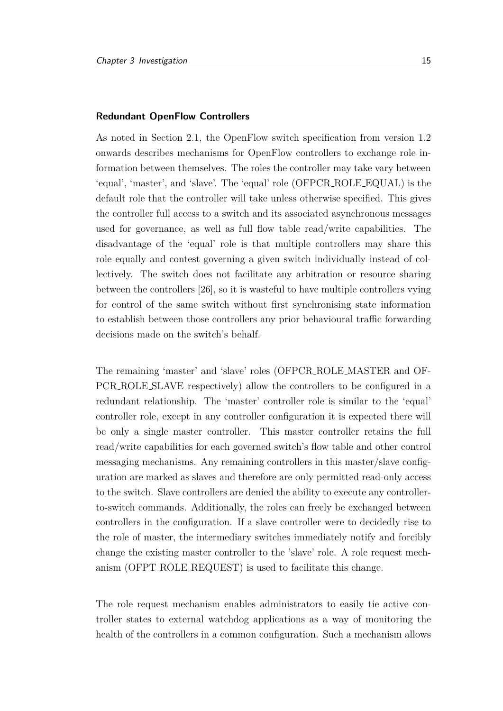#### **Redundant OpenFlow Controllers**

As noted in Section [2.1,](#page-15-1) the OpenFlow switch specification from version 1.2 onwards describes mechanisms for OpenFlow controllers to exchange role information between themselves. The roles the controller may take vary between 'equal', 'master', and 'slave'. The 'equal' role (OFPCR ROLE EQUAL) is the default role that the controller will take unless otherwise specified. This gives the controller full access to a switch and its associated asynchronous messages used for governance, as well as full flow table read/write capabilities. The disadvantage of the 'equal' role is that multiple controllers may share this role equally and contest governing a given switch individually instead of collectively. The switch does not facilitate any arbitration or resource sharing between the controllers [\[26\]](#page-70-8), so it is wasteful to have multiple controllers vying for control of the same switch without first synchronising state information to establish between those controllers any prior behavioural traffic forwarding decisions made on the switch's behalf.

The remaining 'master' and 'slave' roles (OFPCR ROLE MASTER and OF-PCR ROLE SLAVE respectively) allow the controllers to be configured in a redundant relationship. The 'master' controller role is similar to the 'equal' controller role, except in any controller configuration it is expected there will be only a single master controller. This master controller retains the full read/write capabilities for each governed switch's flow table and other control messaging mechanisms. Any remaining controllers in this master/slave configuration are marked as slaves and therefore are only permitted read-only access to the switch. Slave controllers are denied the ability to execute any controllerto-switch commands. Additionally, the roles can freely be exchanged between controllers in the configuration. If a slave controller were to decidedly rise to the role of master, the intermediary switches immediately notify and forcibly change the existing master controller to the 'slave' role. A role request mechanism (OFPT ROLE REQUEST) is used to facilitate this change.

The role request mechanism enables administrators to easily tie active controller states to external watchdog applications as a way of monitoring the health of the controllers in a common configuration. Such a mechanism allows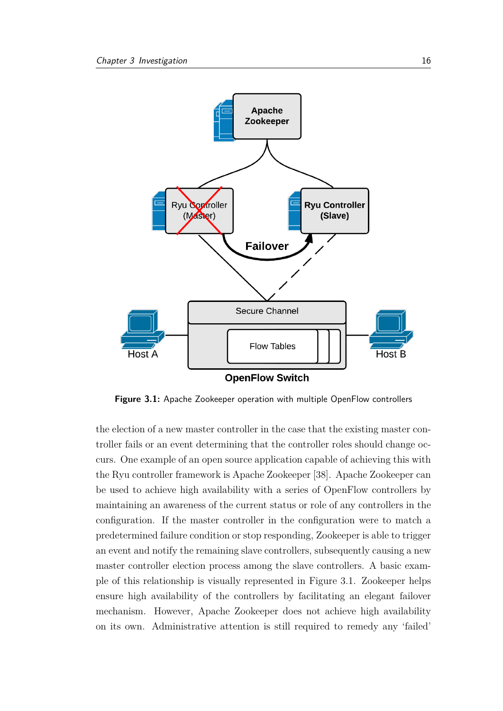<span id="page-27-0"></span>

**Figure 3.1:** Apache Zookeeper operation with multiple OpenFlow controllers

the election of a new master controller in the case that the existing master controller fails or an event determining that the controller roles should change occurs. One example of an open source application capable of achieving this with the Ryu controller framework is Apache Zookeeper [\[38\]](#page-71-6). Apache Zookeeper can be used to achieve high availability with a series of OpenFlow controllers by maintaining an awareness of the current status or role of any controllers in the configuration. If the master controller in the configuration were to match a predetermined failure condition or stop responding, Zookeeper is able to trigger an event and notify the remaining slave controllers, subsequently causing a new master controller election process among the slave controllers. A basic example of this relationship is visually represented in Figure [3.1.](#page-27-0) Zookeeper helps ensure high availability of the controllers by facilitating an elegant failover mechanism. However, Apache Zookeeper does not achieve high availability on its own. Administrative attention is still required to remedy any 'failed'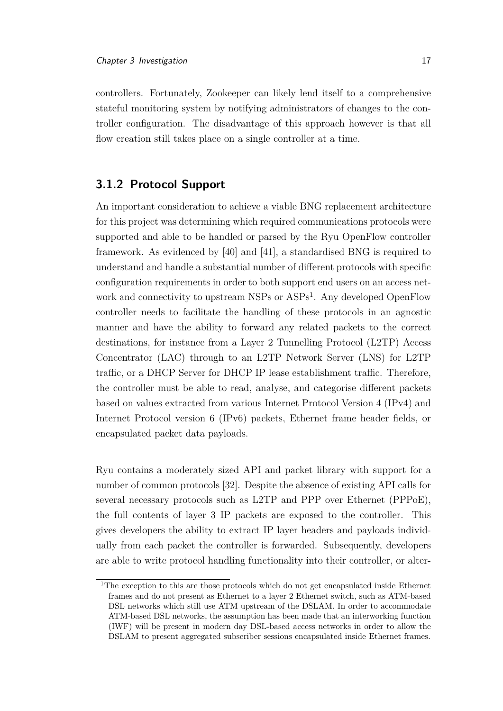controllers. Fortunately, Zookeeper can likely lend itself to a comprehensive stateful monitoring system by notifying administrators of changes to the controller configuration. The disadvantage of this approach however is that all flow creation still takes place on a single controller at a time.

#### <span id="page-28-0"></span>**3.1.2 Protocol Support**

An important consideration to achieve a viable BNG replacement architecture for this project was determining which required communications protocols were supported and able to be handled or parsed by the Ryu OpenFlow controller framework. As evidenced by [\[40\]](#page-71-2) and [\[41\]](#page-71-3), a standardised BNG is required to understand and handle a substantial number of different protocols with specific configuration requirements in order to both support end users on an access net-work and connectivity to upstream NSPs or ASPs<sup>[1](#page-28-1)</sup>. Any developed OpenFlow controller needs to facilitate the handling of these protocols in an agnostic manner and have the ability to forward any related packets to the correct destinations, for instance from a Layer 2 Tunnelling Protocol (L2TP) Access Concentrator (LAC) through to an L2TP Network Server (LNS) for L2TP traffic, or a DHCP Server for DHCP IP lease establishment traffic. Therefore, the controller must be able to read, analyse, and categorise different packets based on values extracted from various Internet Protocol Version 4 (IPv4) and Internet Protocol version 6 (IPv6) packets, Ethernet frame header fields, or encapsulated packet data payloads.

Ryu contains a moderately sized API and packet library with support for a number of common protocols [\[32\]](#page-71-7). Despite the absence of existing API calls for several necessary protocols such as L2TP and PPP over Ethernet (PPPoE), the full contents of layer 3 IP packets are exposed to the controller. This gives developers the ability to extract IP layer headers and payloads individually from each packet the controller is forwarded. Subsequently, developers are able to write protocol handling functionality into their controller, or alter-

<span id="page-28-1"></span><sup>1</sup>The exception to this are those protocols which do not get encapsulated inside Ethernet frames and do not present as Ethernet to a layer 2 Ethernet switch, such as ATM-based DSL networks which still use ATM upstream of the DSLAM. In order to accommodate ATM-based DSL networks, the assumption has been made that an interworking function (IWF) will be present in modern day DSL-based access networks in order to allow the DSLAM to present aggregated subscriber sessions encapsulated inside Ethernet frames.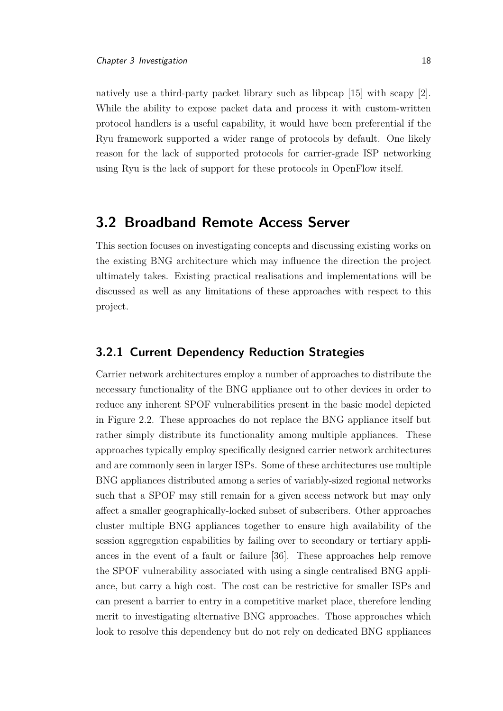natively use a third-party packet library such as libpcap [\[15\]](#page-69-6) with scapy [\[2\]](#page-68-7). While the ability to expose packet data and process it with custom-written protocol handlers is a useful capability, it would have been preferential if the Ryu framework supported a wider range of protocols by default. One likely reason for the lack of supported protocols for carrier-grade ISP networking using Ryu is the lack of support for these protocols in OpenFlow itself.

### <span id="page-29-0"></span>**3.2 Broadband Remote Access Server**

This section focuses on investigating concepts and discussing existing works on the existing BNG architecture which may influence the direction the project ultimately takes. Existing practical realisations and implementations will be discussed as well as any limitations of these approaches with respect to this project.

#### <span id="page-29-1"></span>**3.2.1 Current Dependency Reduction Strategies**

Carrier network architectures employ a number of approaches to distribute the necessary functionality of the BNG appliance out to other devices in order to reduce any inherent SPOF vulnerabilities present in the basic model depicted in Figure [2.2.](#page-21-0) These approaches do not replace the BNG appliance itself but rather simply distribute its functionality among multiple appliances. These approaches typically employ specifically designed carrier network architectures and are commonly seen in larger ISPs. Some of these architectures use multiple BNG appliances distributed among a series of variably-sized regional networks such that a SPOF may still remain for a given access network but may only affect a smaller geographically-locked subset of subscribers. Other approaches cluster multiple BNG appliances together to ensure high availability of the session aggregation capabilities by failing over to secondary or tertiary appliances in the event of a fault or failure [\[36\]](#page-71-8). These approaches help remove the SPOF vulnerability associated with using a single centralised BNG appliance, but carry a high cost. The cost can be restrictive for smaller ISPs and can present a barrier to entry in a competitive market place, therefore lending merit to investigating alternative BNG approaches. Those approaches which look to resolve this dependency but do not rely on dedicated BNG appliances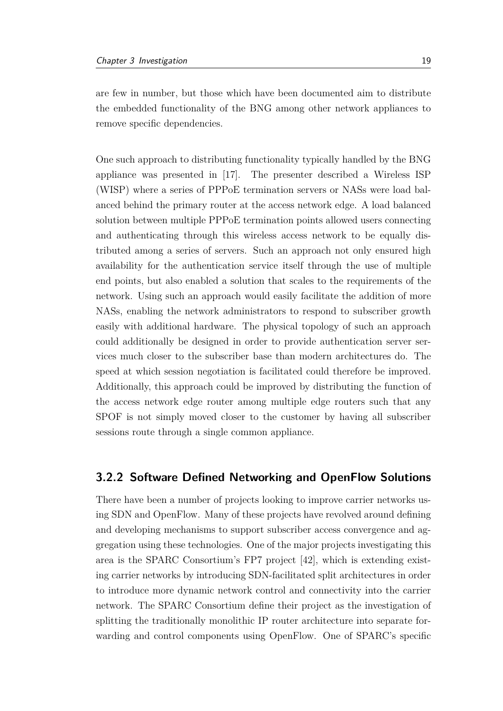are few in number, but those which have been documented aim to distribute the embedded functionality of the BNG among other network appliances to remove specific dependencies.

One such approach to distributing functionality typically handled by the BNG appliance was presented in [\[17\]](#page-69-7). The presenter described a Wireless ISP (WISP) where a series of PPPoE termination servers or NASs were load balanced behind the primary router at the access network edge. A load balanced solution between multiple PPPoE termination points allowed users connecting and authenticating through this wireless access network to be equally distributed among a series of servers. Such an approach not only ensured high availability for the authentication service itself through the use of multiple end points, but also enabled a solution that scales to the requirements of the network. Using such an approach would easily facilitate the addition of more NASs, enabling the network administrators to respond to subscriber growth easily with additional hardware. The physical topology of such an approach could additionally be designed in order to provide authentication server services much closer to the subscriber base than modern architectures do. The speed at which session negotiation is facilitated could therefore be improved. Additionally, this approach could be improved by distributing the function of the access network edge router among multiple edge routers such that any SPOF is not simply moved closer to the customer by having all subscriber sessions route through a single common appliance.

#### <span id="page-30-0"></span>**3.2.2 Software Defined Networking and OpenFlow Solutions**

There have been a number of projects looking to improve carrier networks using SDN and OpenFlow. Many of these projects have revolved around defining and developing mechanisms to support subscriber access convergence and aggregation using these technologies. One of the major projects investigating this area is the SPARC Consortium's FP7 project [\[42\]](#page-72-2), which is extending existing carrier networks by introducing SDN-facilitated split architectures in order to introduce more dynamic network control and connectivity into the carrier network. The SPARC Consortium define their project as the investigation of splitting the traditionally monolithic IP router architecture into separate forwarding and control components using OpenFlow. One of SPARC's specific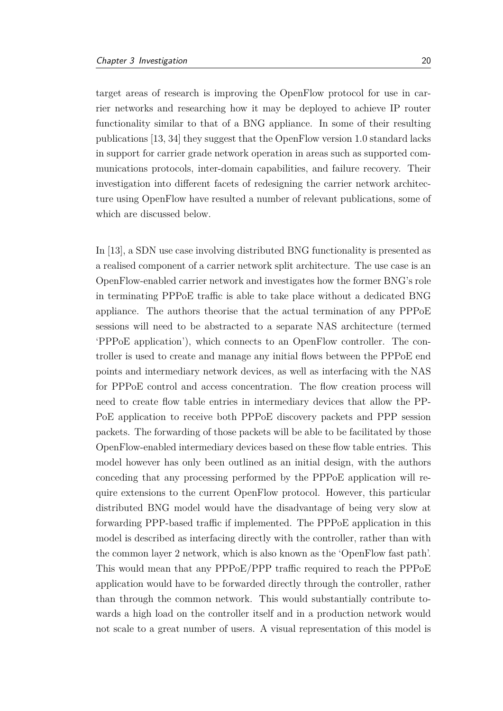target areas of research is improving the OpenFlow protocol for use in carrier networks and researching how it may be deployed to achieve IP router functionality similar to that of a BNG appliance. In some of their resulting publications [\[13,](#page-69-8) [34\]](#page-71-9) they suggest that the OpenFlow version 1.0 standard lacks in support for carrier grade network operation in areas such as supported communications protocols, inter-domain capabilities, and failure recovery. Their investigation into different facets of redesigning the carrier network architecture using OpenFlow have resulted a number of relevant publications, some of which are discussed below.

In [\[13\]](#page-69-8), a SDN use case involving distributed BNG functionality is presented as a realised component of a carrier network split architecture. The use case is an OpenFlow-enabled carrier network and investigates how the former BNG's role in terminating PPPoE traffic is able to take place without a dedicated BNG appliance. The authors theorise that the actual termination of any PPPoE sessions will need to be abstracted to a separate NAS architecture (termed 'PPPoE application'), which connects to an OpenFlow controller. The controller is used to create and manage any initial flows between the PPPoE end points and intermediary network devices, as well as interfacing with the NAS for PPPoE control and access concentration. The flow creation process will need to create flow table entries in intermediary devices that allow the PP-PoE application to receive both PPPoE discovery packets and PPP session packets. The forwarding of those packets will be able to be facilitated by those OpenFlow-enabled intermediary devices based on these flow table entries. This model however has only been outlined as an initial design, with the authors conceding that any processing performed by the PPPoE application will require extensions to the current OpenFlow protocol. However, this particular distributed BNG model would have the disadvantage of being very slow at forwarding PPP-based traffic if implemented. The PPPoE application in this model is described as interfacing directly with the controller, rather than with the common layer 2 network, which is also known as the 'OpenFlow fast path'. This would mean that any PPPoE/PPP traffic required to reach the PPPoE application would have to be forwarded directly through the controller, rather than through the common network. This would substantially contribute towards a high load on the controller itself and in a production network would not scale to a great number of users. A visual representation of this model is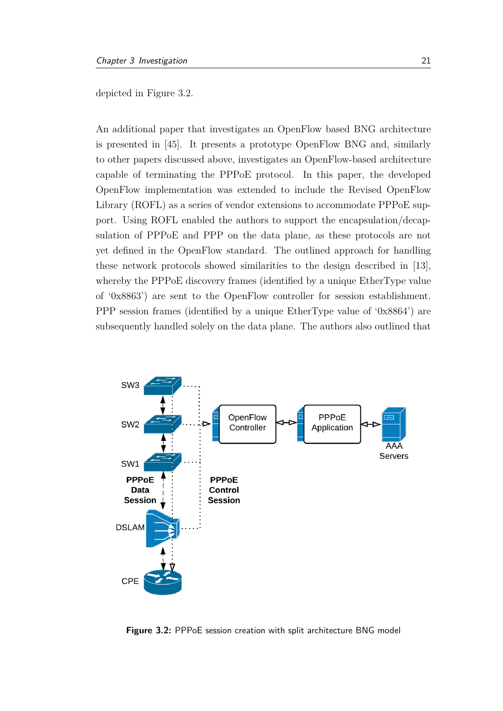depicted in Figure [3.2.](#page-32-0)

An additional paper that investigates an OpenFlow based BNG architecture is presented in [\[45\]](#page-72-3). It presents a prototype OpenFlow BNG and, similarly to other papers discussed above, investigates an OpenFlow-based architecture capable of terminating the PPPoE protocol. In this paper, the developed OpenFlow implementation was extended to include the Revised OpenFlow Library (ROFL) as a series of vendor extensions to accommodate PPPoE support. Using ROFL enabled the authors to support the encapsulation/decapsulation of PPPoE and PPP on the data plane, as these protocols are not yet defined in the OpenFlow standard. The outlined approach for handling these network protocols showed similarities to the design described in [\[13\]](#page-69-8), whereby the PPPoE discovery frames (identified by a unique EtherType value of '0x8863') are sent to the OpenFlow controller for session establishment. PPP session frames (identified by a unique EtherType value of '0x8864') are subsequently handled solely on the data plane. The authors also outlined that

<span id="page-32-0"></span>

**Figure 3.2:** PPPoE session creation with split architecture BNG model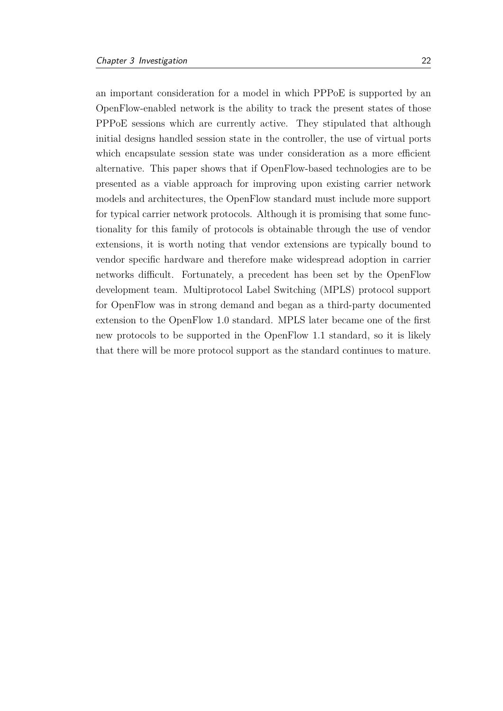an important consideration for a model in which PPPoE is supported by an OpenFlow-enabled network is the ability to track the present states of those PPPoE sessions which are currently active. They stipulated that although initial designs handled session state in the controller, the use of virtual ports which encapsulate session state was under consideration as a more efficient alternative. This paper shows that if OpenFlow-based technologies are to be presented as a viable approach for improving upon existing carrier network models and architectures, the OpenFlow standard must include more support for typical carrier network protocols. Although it is promising that some functionality for this family of protocols is obtainable through the use of vendor extensions, it is worth noting that vendor extensions are typically bound to vendor specific hardware and therefore make widespread adoption in carrier networks difficult. Fortunately, a precedent has been set by the OpenFlow development team. Multiprotocol Label Switching (MPLS) protocol support for OpenFlow was in strong demand and began as a third-party documented extension to the OpenFlow 1.0 standard. MPLS later became one of the first new protocols to be supported in the OpenFlow 1.1 standard, so it is likely that there will be more protocol support as the standard continues to mature.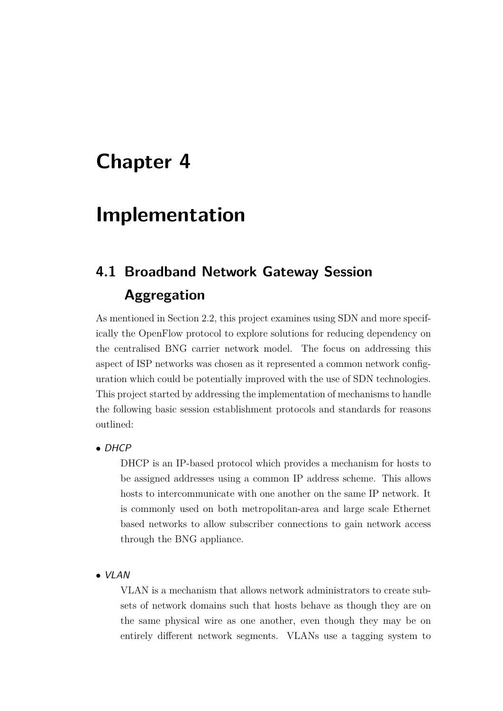### <span id="page-34-0"></span>**Chapter 4**

### **Implementation**

### <span id="page-34-1"></span>**4.1 Broadband Network Gateway Session Aggregation**

As mentioned in Section [2.2,](#page-19-0) this project examines using SDN and more specifically the OpenFlow protocol to explore solutions for reducing dependency on the centralised BNG carrier network model. The focus on addressing this aspect of ISP networks was chosen as it represented a common network configuration which could be potentially improved with the use of SDN technologies. This project started by addressing the implementation of mechanisms to handle the following basic session establishment protocols and standards for reasons outlined:

• DHCP

DHCP is an IP-based protocol which provides a mechanism for hosts to be assigned addresses using a common IP address scheme. This allows hosts to intercommunicate with one another on the same IP network. It is commonly used on both metropolitan-area and large scale Ethernet based networks to allow subscriber connections to gain network access through the BNG appliance.

• VLAN

VLAN is a mechanism that allows network administrators to create subsets of network domains such that hosts behave as though they are on the same physical wire as one another, even though they may be on entirely different network segments. VLANs use a tagging system to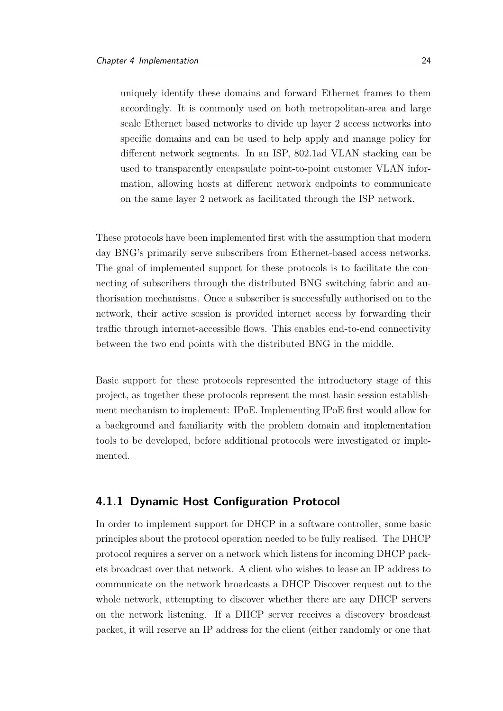uniquely identify these domains and forward Ethernet frames to them accordingly. It is commonly used on both metropolitan-area and large scale Ethernet based networks to divide up layer 2 access networks into specific domains and can be used to help apply and manage policy for different network segments. In an ISP, 802.1ad VLAN stacking can be used to transparently encapsulate point-to-point customer VLAN information, allowing hosts at different network endpoints to communicate on the same layer 2 network as facilitated through the ISP network.

These protocols have been implemented first with the assumption that modern day BNG's primarily serve subscribers from Ethernet-based access networks. The goal of implemented support for these protocols is to facilitate the connecting of subscribers through the distributed BNG switching fabric and authorisation mechanisms. Once a subscriber is successfully authorised on to the network, their active session is provided internet access by forwarding their traffic through internet-accessible flows. This enables end-to-end connectivity between the two end points with the distributed BNG in the middle.

Basic support for these protocols represented the introductory stage of this project, as together these protocols represent the most basic session establishment mechanism to implement: IPoE. Implementing IPoE first would allow for a background and familiarity with the problem domain and implementation tools to be developed, before additional protocols were investigated or implemented.

#### <span id="page-35-0"></span>**4.1.1 Dynamic Host Configuration Protocol**

In order to implement support for DHCP in a software controller, some basic principles about the protocol operation needed to be fully realised. The DHCP protocol requires a server on a network which listens for incoming DHCP packets broadcast over that network. A client who wishes to lease an IP address to communicate on the network broadcasts a DHCP Discover request out to the whole network, attempting to discover whether there are any DHCP servers on the network listening. If a DHCP server receives a discovery broadcast packet, it will reserve an IP address for the client (either randomly or one that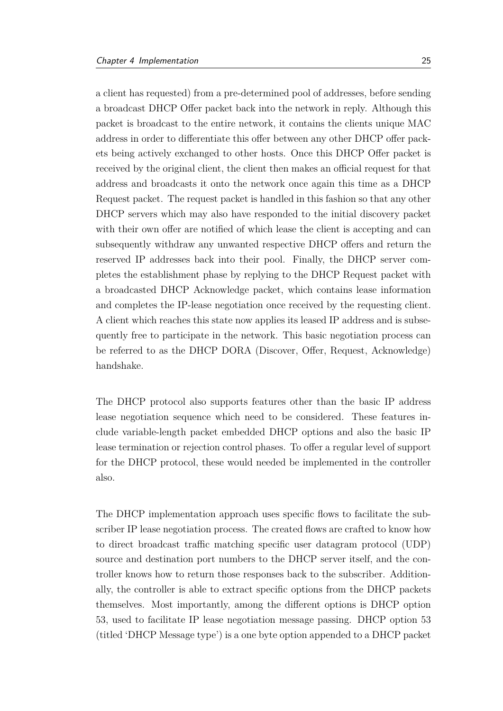a client has requested) from a pre-determined pool of addresses, before sending a broadcast DHCP Offer packet back into the network in reply. Although this packet is broadcast to the entire network, it contains the clients unique MAC address in order to differentiate this offer between any other DHCP offer packets being actively exchanged to other hosts. Once this DHCP Offer packet is received by the original client, the client then makes an official request for that address and broadcasts it onto the network once again this time as a DHCP Request packet. The request packet is handled in this fashion so that any other DHCP servers which may also have responded to the initial discovery packet with their own offer are notified of which lease the client is accepting and can subsequently withdraw any unwanted respective DHCP offers and return the reserved IP addresses back into their pool. Finally, the DHCP server completes the establishment phase by replying to the DHCP Request packet with a broadcasted DHCP Acknowledge packet, which contains lease information and completes the IP-lease negotiation once received by the requesting client. A client which reaches this state now applies its leased IP address and is subsequently free to participate in the network. This basic negotiation process can be referred to as the DHCP DORA (Discover, Offer, Request, Acknowledge) handshake.

The DHCP protocol also supports features other than the basic IP address lease negotiation sequence which need to be considered. These features include variable-length packet embedded DHCP options and also the basic IP lease termination or rejection control phases. To offer a regular level of support for the DHCP protocol, these would needed be implemented in the controller also.

The DHCP implementation approach uses specific flows to facilitate the subscriber IP lease negotiation process. The created flows are crafted to know how to direct broadcast traffic matching specific user datagram protocol (UDP) source and destination port numbers to the DHCP server itself, and the controller knows how to return those responses back to the subscriber. Additionally, the controller is able to extract specific options from the DHCP packets themselves. Most importantly, among the different options is DHCP option 53, used to facilitate IP lease negotiation message passing. DHCP option 53 (titled 'DHCP Message type') is a one byte option appended to a DHCP packet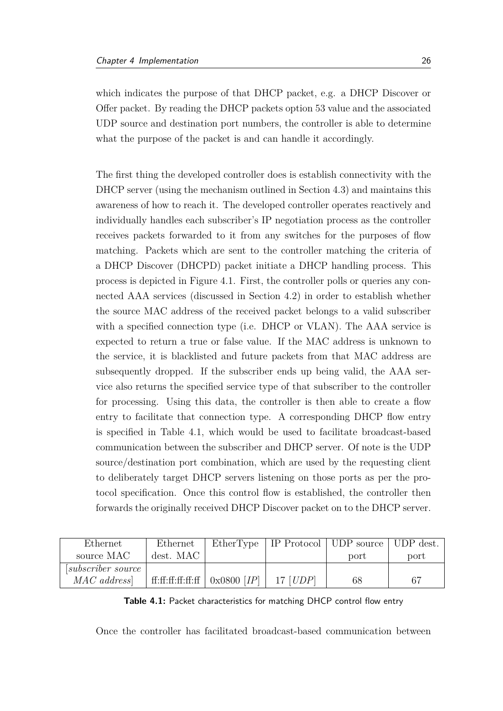which indicates the purpose of that DHCP packet, e.g. a DHCP Discover or Offer packet. By reading the DHCP packets option 53 value and the associated UDP source and destination port numbers, the controller is able to determine what the purpose of the packet is and can handle it accordingly.

The first thing the developed controller does is establish connectivity with the DHCP server (using the mechanism outlined in Section [4.3\)](#page-44-0) and maintains this awareness of how to reach it. The developed controller operates reactively and individually handles each subscriber's IP negotiation process as the controller receives packets forwarded to it from any switches for the purposes of flow matching. Packets which are sent to the controller matching the criteria of a DHCP Discover (DHCPD) packet initiate a DHCP handling process. This process is depicted in Figure [4.1.](#page-38-0) First, the controller polls or queries any connected AAA services (discussed in Section [4.2\)](#page-43-0) in order to establish whether the source MAC address of the received packet belongs to a valid subscriber with a specified connection type (i.e. DHCP or VLAN). The AAA service is expected to return a true or false value. If the MAC address is unknown to the service, it is blacklisted and future packets from that MAC address are subsequently dropped. If the subscriber ends up being valid, the AAA service also returns the specified service type of that subscriber to the controller for processing. Using this data, the controller is then able to create a flow entry to facilitate that connection type. A corresponding DHCP flow entry is specified in Table [4.1,](#page-37-0) which would be used to facilitate broadcast-based communication between the subscriber and DHCP server. Of note is the UDP source/destination port combination, which are used by the requesting client to deliberately target DHCP servers listening on those ports as per the protocol specification. Once this control flow is established, the controller then forwards the originally received DHCP Discover packet on to the DHCP server.

<span id="page-37-0"></span>

| Ethernet             | Ethernet          | EtherType                          |                   | IP Protocol   UDP source   UDP dest. |      |
|----------------------|-------------------|------------------------------------|-------------------|--------------------------------------|------|
| source MAC           | dest. MAC         |                                    |                   | port                                 | port |
| [subscripter source] |                   |                                    |                   |                                      |      |
| MAC address          | ff:ff:ff:ff:ff:ff | $\mid 0x0800$ [ <i>IP</i> ] $\mid$ | 17 [ <i>UDP</i> ] | 68                                   |      |

**Table 4.1:** Packet characteristics for matching DHCP control flow entry

Once the controller has facilitated broadcast-based communication between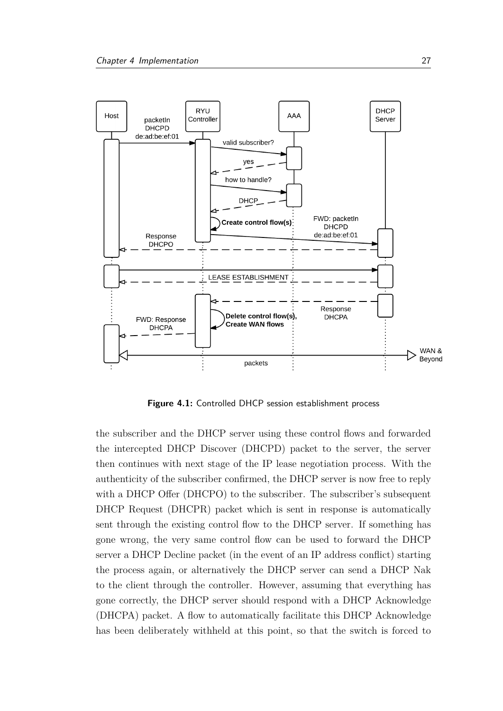<span id="page-38-0"></span>

**Figure 4.1:** Controlled DHCP session establishment process

the subscriber and the DHCP server using these control flows and forwarded the intercepted DHCP Discover (DHCPD) packet to the server, the server then continues with next stage of the IP lease negotiation process. With the authenticity of the subscriber confirmed, the DHCP server is now free to reply with a DHCP Offer (DHCPO) to the subscriber. The subscriber's subsequent DHCP Request (DHCPR) packet which is sent in response is automatically sent through the existing control flow to the DHCP server. If something has gone wrong, the very same control flow can be used to forward the DHCP server a DHCP Decline packet (in the event of an IP address conflict) starting the process again, or alternatively the DHCP server can send a DHCP Nak to the client through the controller. However, assuming that everything has gone correctly, the DHCP server should respond with a DHCP Acknowledge (DHCPA) packet. A flow to automatically facilitate this DHCP Acknowledge has been deliberately withheld at this point, so that the switch is forced to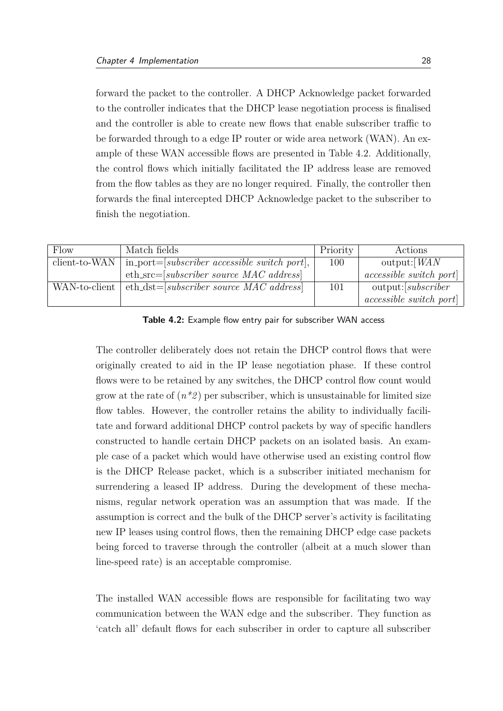forward the packet to the controller. A DHCP Acknowledge packet forwarded to the controller indicates that the DHCP lease negotiation process is finalised and the controller is able to create new flows that enable subscriber traffic to be forwarded through to a edge IP router or wide area network (WAN). An example of these WAN accessible flows are presented in Table [4.2.](#page-39-0) Additionally, the control flows which initially facilitated the IP address lease are removed from the flow tables as they are no longer required. Finally, the controller then forwards the final intercepted DHCP Acknowledge packet to the subscriber to finish the negotiation.

<span id="page-39-0"></span>

| Flow          | Match fields                                                    | Priority | Actions                       |
|---------------|-----------------------------------------------------------------|----------|-------------------------------|
| client-to-WAN | $\text{in}$ -port=[ <i>subscriber accessible switch port</i> ], | 100      | output: $WAN$                 |
|               | eth_src=[subscriber source MAC address]                         |          | <i>accessible switch port</i> |
| WAN-to-client | eth_dst=[subscriber source MAC address]                         | 101      | output: [subscripter]         |
|               |                                                                 |          | <i>accessible switch port</i> |

**Table 4.2:** Example flow entry pair for subscriber WAN access

The controller deliberately does not retain the DHCP control flows that were originally created to aid in the IP lease negotiation phase. If these control flows were to be retained by any switches, the DHCP control flow count would grow at the rate of  $(n^*2)$  per subscriber, which is unsustainable for limited size flow tables. However, the controller retains the ability to individually facilitate and forward additional DHCP control packets by way of specific handlers constructed to handle certain DHCP packets on an isolated basis. An example case of a packet which would have otherwise used an existing control flow is the DHCP Release packet, which is a subscriber initiated mechanism for surrendering a leased IP address. During the development of these mechanisms, regular network operation was an assumption that was made. If the assumption is correct and the bulk of the DHCP server's activity is facilitating new IP leases using control flows, then the remaining DHCP edge case packets being forced to traverse through the controller (albeit at a much slower than line-speed rate) is an acceptable compromise.

The installed WAN accessible flows are responsible for facilitating two way communication between the WAN edge and the subscriber. They function as 'catch all' default flows for each subscriber in order to capture all subscriber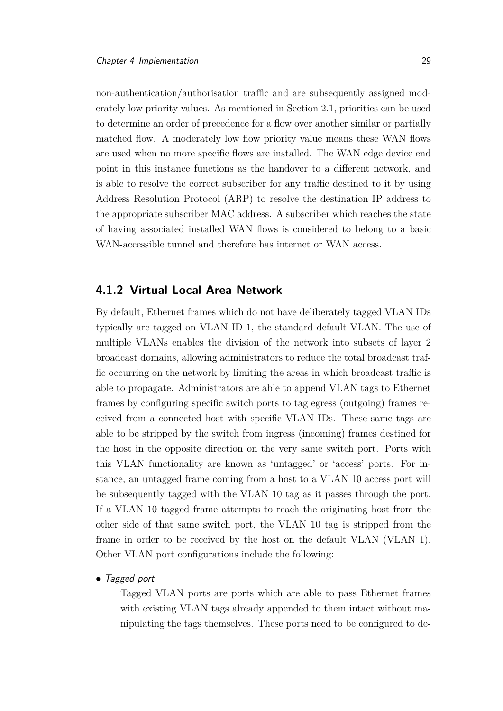non-authentication/authorisation traffic and are subsequently assigned moderately low priority values. As mentioned in Section [2.1,](#page-15-0) priorities can be used to determine an order of precedence for a flow over another similar or partially matched flow. A moderately low flow priority value means these WAN flows are used when no more specific flows are installed. The WAN edge device end point in this instance functions as the handover to a different network, and is able to resolve the correct subscriber for any traffic destined to it by using Address Resolution Protocol (ARP) to resolve the destination IP address to the appropriate subscriber MAC address. A subscriber which reaches the state of having associated installed WAN flows is considered to belong to a basic WAN-accessible tunnel and therefore has internet or WAN access.

## **4.1.2 Virtual Local Area Network**

By default, Ethernet frames which do not have deliberately tagged VLAN IDs typically are tagged on VLAN ID 1, the standard default VLAN. The use of multiple VLANs enables the division of the network into subsets of layer 2 broadcast domains, allowing administrators to reduce the total broadcast traffic occurring on the network by limiting the areas in which broadcast traffic is able to propagate. Administrators are able to append VLAN tags to Ethernet frames by configuring specific switch ports to tag egress (outgoing) frames received from a connected host with specific VLAN IDs. These same tags are able to be stripped by the switch from ingress (incoming) frames destined for the host in the opposite direction on the very same switch port. Ports with this VLAN functionality are known as 'untagged' or 'access' ports. For instance, an untagged frame coming from a host to a VLAN 10 access port will be subsequently tagged with the VLAN 10 tag as it passes through the port. If a VLAN 10 tagged frame attempts to reach the originating host from the other side of that same switch port, the VLAN 10 tag is stripped from the frame in order to be received by the host on the default VLAN (VLAN 1). Other VLAN port configurations include the following:

• Tagged port

Tagged VLAN ports are ports which are able to pass Ethernet frames with existing VLAN tags already appended to them intact without manipulating the tags themselves. These ports need to be configured to de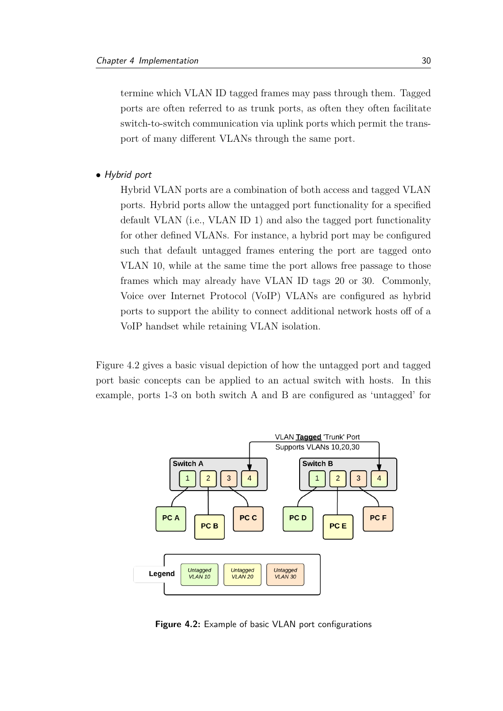termine which VLAN ID tagged frames may pass through them. Tagged ports are often referred to as trunk ports, as often they often facilitate switch-to-switch communication via uplink ports which permit the transport of many different VLANs through the same port.

• Hybrid port

Hybrid VLAN ports are a combination of both access and tagged VLAN ports. Hybrid ports allow the untagged port functionality for a specified default VLAN (i.e., VLAN ID 1) and also the tagged port functionality for other defined VLANs. For instance, a hybrid port may be configured such that default untagged frames entering the port are tagged onto VLAN 10, while at the same time the port allows free passage to those frames which may already have VLAN ID tags 20 or 30. Commonly, Voice over Internet Protocol (VoIP) VLANs are configured as hybrid ports to support the ability to connect additional network hosts off of a VoIP handset while retaining VLAN isolation.

Figure [4.2](#page-41-0) gives a basic visual depiction of how the untagged port and tagged port basic concepts can be applied to an actual switch with hosts. In this example, ports 1-3 on both switch A and B are configured as 'untagged' for

<span id="page-41-0"></span>

**Figure 4.2:** Example of basic VLAN port configurations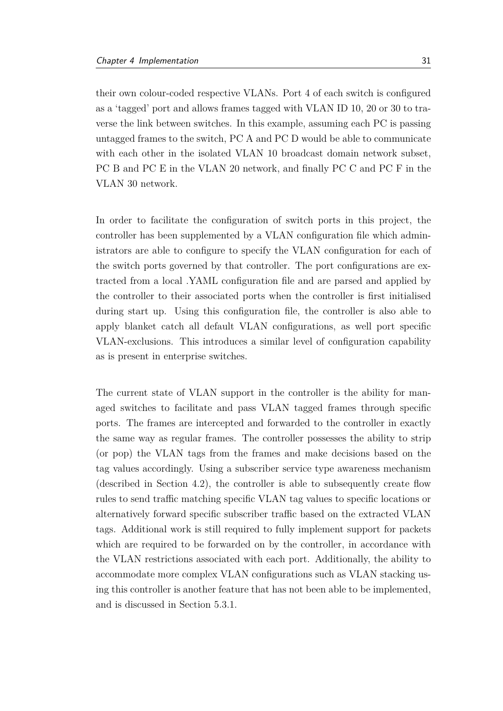their own colour-coded respective VLANs. Port 4 of each switch is configured as a 'tagged' port and allows frames tagged with VLAN ID 10, 20 or 30 to traverse the link between switches. In this example, assuming each PC is passing untagged frames to the switch, PC A and PC D would be able to communicate with each other in the isolated VLAN 10 broadcast domain network subset, PC B and PC E in the VLAN 20 network, and finally PC C and PC F in the VLAN 30 network.

In order to facilitate the configuration of switch ports in this project, the controller has been supplemented by a VLAN configuration file which administrators are able to configure to specify the VLAN configuration for each of the switch ports governed by that controller. The port configurations are extracted from a local .YAML configuration file and are parsed and applied by the controller to their associated ports when the controller is first initialised during start up. Using this configuration file, the controller is also able to apply blanket catch all default VLAN configurations, as well port specific VLAN-exclusions. This introduces a similar level of configuration capability as is present in enterprise switches.

The current state of VLAN support in the controller is the ability for managed switches to facilitate and pass VLAN tagged frames through specific ports. The frames are intercepted and forwarded to the controller in exactly the same way as regular frames. The controller possesses the ability to strip (or pop) the VLAN tags from the frames and make decisions based on the tag values accordingly. Using a subscriber service type awareness mechanism (described in Section [4.2\)](#page-43-0), the controller is able to subsequently create flow rules to send traffic matching specific VLAN tag values to specific locations or alternatively forward specific subscriber traffic based on the extracted VLAN tags. Additional work is still required to fully implement support for packets which are required to be forwarded on by the controller, in accordance with the VLAN restrictions associated with each port. Additionally, the ability to accommodate more complex VLAN configurations such as VLAN stacking using this controller is another feature that has not been able to be implemented, and is discussed in Section [5.3.1.](#page-54-0)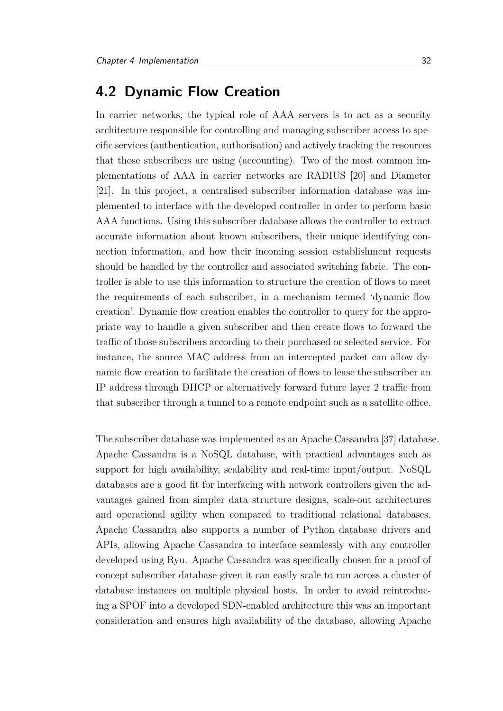# <span id="page-43-0"></span>**4.2 Dynamic Flow Creation**

In carrier networks, the typical role of AAA servers is to act as a security architecture responsible for controlling and managing subscriber access to specific services (authentication, authorisation) and actively tracking the resources that those subscribers are using (accounting). Two of the most common implementations of AAA in carrier networks are RADIUS [\[20\]](#page-70-0) and Diameter [\[21\]](#page-70-1). In this project, a centralised subscriber information database was implemented to interface with the developed controller in order to perform basic AAA functions. Using this subscriber database allows the controller to extract accurate information about known subscribers, their unique identifying connection information, and how their incoming session establishment requests should be handled by the controller and associated switching fabric. The controller is able to use this information to structure the creation of flows to meet the requirements of each subscriber, in a mechanism termed 'dynamic flow creation'. Dynamic flow creation enables the controller to query for the appropriate way to handle a given subscriber and then create flows to forward the traffic of those subscribers according to their purchased or selected service. For instance, the source MAC address from an intercepted packet can allow dynamic flow creation to facilitate the creation of flows to lease the subscriber an IP address through DHCP or alternatively forward future layer 2 traffic from that subscriber through a tunnel to a remote endpoint such as a satellite office.

The subscriber database was implemented as an Apache Cassandra [\[37\]](#page-71-0) database. Apache Cassandra is a NoSQL database, with practical advantages such as support for high availability, scalability and real-time input/output. NoSQL databases are a good fit for interfacing with network controllers given the advantages gained from simpler data structure designs, scale-out architectures and operational agility when compared to traditional relational databases. Apache Cassandra also supports a number of Python database drivers and APIs, allowing Apache Cassandra to interface seamlessly with any controller developed using Ryu. Apache Cassandra was specifically chosen for a proof of concept subscriber database given it can easily scale to run across a cluster of database instances on multiple physical hosts. In order to avoid reintroducing a SPOF into a developed SDN-enabled architecture this was an important consideration and ensures high availability of the database, allowing Apache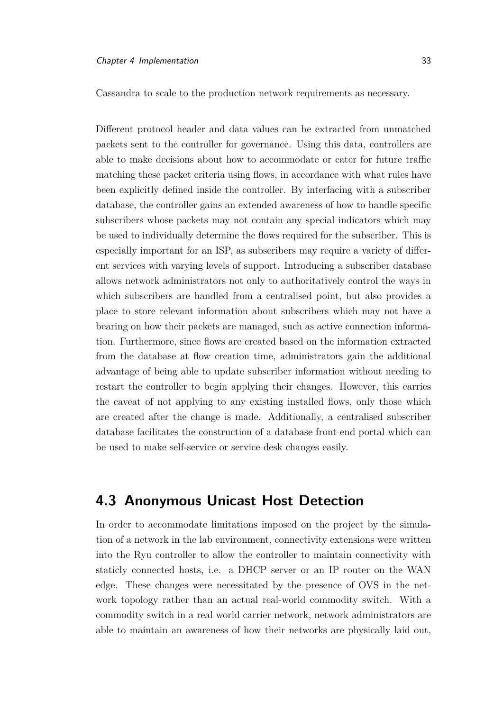Cassandra to scale to the production network requirements as necessary.

Different protocol header and data values can be extracted from unmatched packets sent to the controller for governance. Using this data, controllers are able to make decisions about how to accommodate or cater for future traffic matching these packet criteria using flows, in accordance with what rules have been explicitly defined inside the controller. By interfacing with a subscriber database, the controller gains an extended awareness of how to handle specific subscribers whose packets may not contain any special indicators which may be used to individually determine the flows required for the subscriber. This is especially important for an ISP, as subscribers may require a variety of different services with varying levels of support. Introducing a subscriber database allows network administrators not only to authoritatively control the ways in which subscribers are handled from a centralised point, but also provides a place to store relevant information about subscribers which may not have a bearing on how their packets are managed, such as active connection information. Furthermore, since flows are created based on the information extracted from the database at flow creation time, administrators gain the additional advantage of being able to update subscriber information without needing to restart the controller to begin applying their changes. However, this carries the caveat of not applying to any existing installed flows, only those which are created after the change is made. Additionally, a centralised subscriber database facilitates the construction of a database front-end portal which can be used to make self-service or service desk changes easily.

# <span id="page-44-0"></span>**4.3 Anonymous Unicast Host Detection**

In order to accommodate limitations imposed on the project by the simulation of a network in the lab environment, connectivity extensions were written into the Ryu controller to allow the controller to maintain connectivity with staticly connected hosts, i.e. a DHCP server or an IP router on the WAN edge. These changes were necessitated by the presence of OVS in the network topology rather than an actual real-world commodity switch. With a commodity switch in a real world carrier network, network administrators are able to maintain an awareness of how their networks are physically laid out,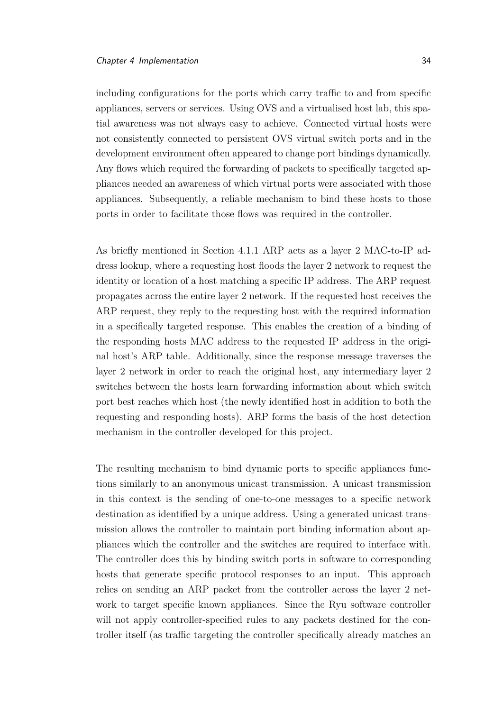including configurations for the ports which carry traffic to and from specific appliances, servers or services. Using OVS and a virtualised host lab, this spatial awareness was not always easy to achieve. Connected virtual hosts were not consistently connected to persistent OVS virtual switch ports and in the development environment often appeared to change port bindings dynamically. Any flows which required the forwarding of packets to specifically targeted appliances needed an awareness of which virtual ports were associated with those appliances. Subsequently, a reliable mechanism to bind these hosts to those ports in order to facilitate those flows was required in the controller.

As briefly mentioned in Section [4.1.1](#page-35-0) ARP acts as a layer 2 MAC-to-IP address lookup, where a requesting host floods the layer 2 network to request the identity or location of a host matching a specific IP address. The ARP request propagates across the entire layer 2 network. If the requested host receives the ARP request, they reply to the requesting host with the required information in a specifically targeted response. This enables the creation of a binding of the responding hosts MAC address to the requested IP address in the original host's ARP table. Additionally, since the response message traverses the layer 2 network in order to reach the original host, any intermediary layer 2 switches between the hosts learn forwarding information about which switch port best reaches which host (the newly identified host in addition to both the requesting and responding hosts). ARP forms the basis of the host detection mechanism in the controller developed for this project.

The resulting mechanism to bind dynamic ports to specific appliances functions similarly to an anonymous unicast transmission. A unicast transmission in this context is the sending of one-to-one messages to a specific network destination as identified by a unique address. Using a generated unicast transmission allows the controller to maintain port binding information about appliances which the controller and the switches are required to interface with. The controller does this by binding switch ports in software to corresponding hosts that generate specific protocol responses to an input. This approach relies on sending an ARP packet from the controller across the layer 2 network to target specific known appliances. Since the Ryu software controller will not apply controller-specified rules to any packets destined for the controller itself (as traffic targeting the controller specifically already matches an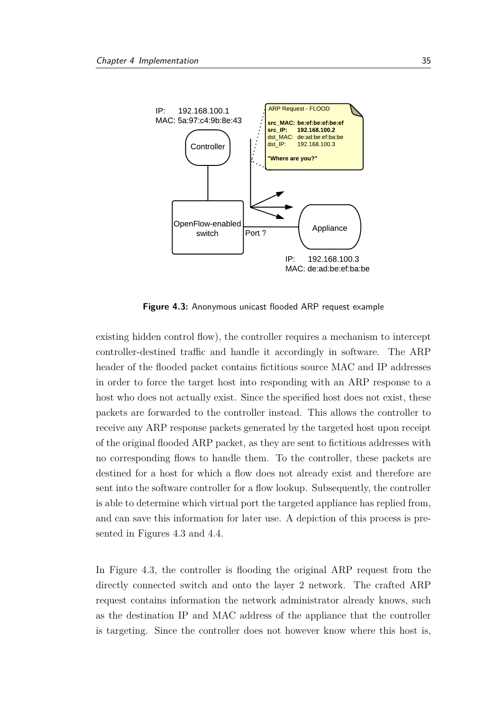<span id="page-46-0"></span>

**Figure 4.3:** Anonymous unicast flooded ARP request example

existing hidden control flow), the controller requires a mechanism to intercept controller-destined traffic and handle it accordingly in software. The ARP header of the flooded packet contains fictitious source MAC and IP addresses in order to force the target host into responding with an ARP response to a host who does not actually exist. Since the specified host does not exist, these packets are forwarded to the controller instead. This allows the controller to receive any ARP response packets generated by the targeted host upon receipt of the original flooded ARP packet, as they are sent to fictitious addresses with no corresponding flows to handle them. To the controller, these packets are destined for a host for which a flow does not already exist and therefore are sent into the software controller for a flow lookup. Subsequently, the controller is able to determine which virtual port the targeted appliance has replied from, and can save this information for later use. A depiction of this process is presented in Figures [4.3](#page-46-0) and [4.4.](#page-47-0)

In Figure [4.3,](#page-46-0) the controller is flooding the original ARP request from the directly connected switch and onto the layer 2 network. The crafted ARP request contains information the network administrator already knows, such as the destination IP and MAC address of the appliance that the controller is targeting. Since the controller does not however know where this host is,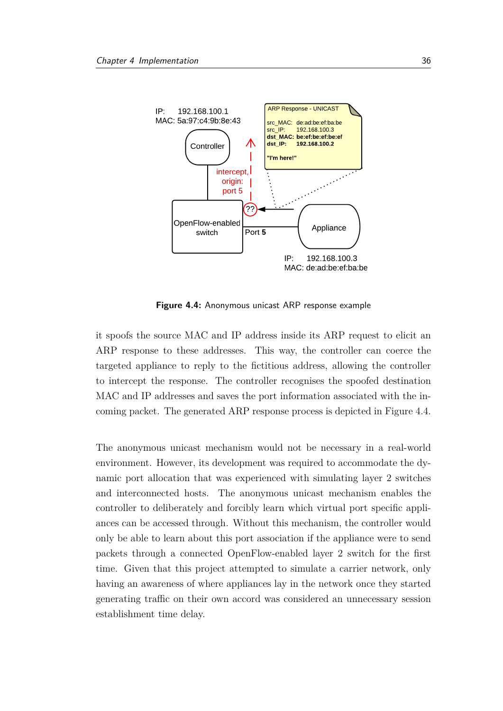<span id="page-47-0"></span>

**Figure 4.4:** Anonymous unicast ARP response example

it spoofs the source MAC and IP address inside its ARP request to elicit an ARP response to these addresses. This way, the controller can coerce the targeted appliance to reply to the fictitious address, allowing the controller to intercept the response. The controller recognises the spoofed destination MAC and IP addresses and saves the port information associated with the incoming packet. The generated ARP response process is depicted in Figure [4.4.](#page-47-0)

The anonymous unicast mechanism would not be necessary in a real-world environment. However, its development was required to accommodate the dynamic port allocation that was experienced with simulating layer 2 switches and interconnected hosts. The anonymous unicast mechanism enables the controller to deliberately and forcibly learn which virtual port specific appliances can be accessed through. Without this mechanism, the controller would only be able to learn about this port association if the appliance were to send packets through a connected OpenFlow-enabled layer 2 switch for the first time. Given that this project attempted to simulate a carrier network, only having an awareness of where appliances lay in the network once they started generating traffic on their own accord was considered an unnecessary session establishment time delay.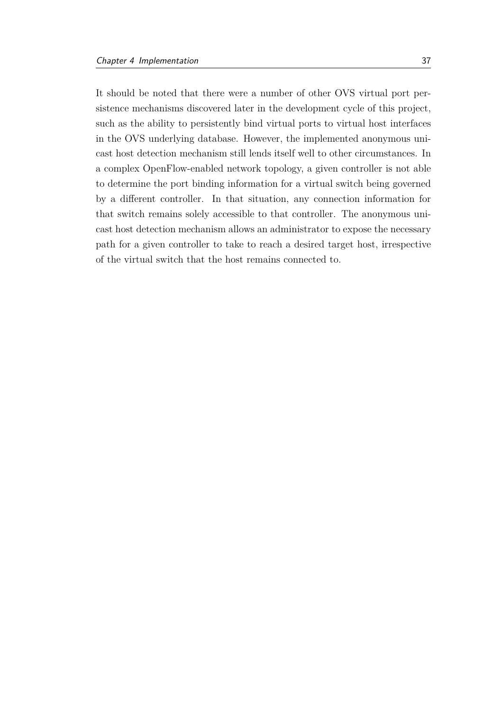It should be noted that there were a number of other OVS virtual port persistence mechanisms discovered later in the development cycle of this project, such as the ability to persistently bind virtual ports to virtual host interfaces in the OVS underlying database. However, the implemented anonymous unicast host detection mechanism still lends itself well to other circumstances. In a complex OpenFlow-enabled network topology, a given controller is not able to determine the port binding information for a virtual switch being governed by a different controller. In that situation, any connection information for that switch remains solely accessible to that controller. The anonymous unicast host detection mechanism allows an administrator to expose the necessary path for a given controller to take to reach a desired target host, irrespective of the virtual switch that the host remains connected to.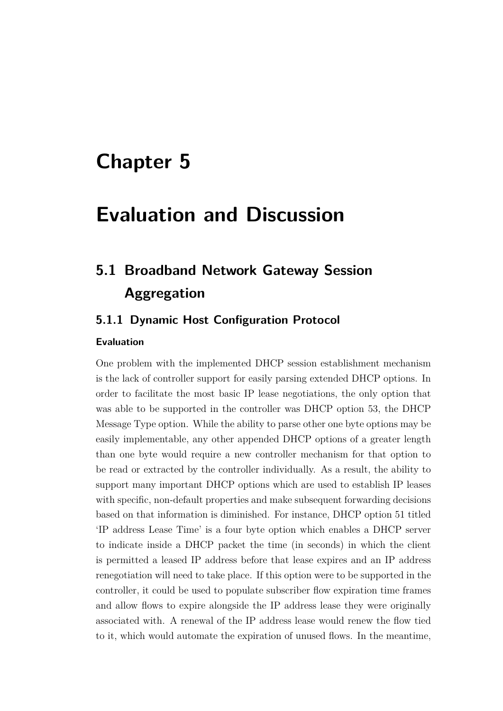# **Chapter 5**

# **Evaluation and Discussion**

# **5.1 Broadband Network Gateway Session Aggregation**

## <span id="page-49-0"></span>**5.1.1 Dynamic Host Configuration Protocol**

#### **Evaluation**

One problem with the implemented DHCP session establishment mechanism is the lack of controller support for easily parsing extended DHCP options. In order to facilitate the most basic IP lease negotiations, the only option that was able to be supported in the controller was DHCP option 53, the DHCP Message Type option. While the ability to parse other one byte options may be easily implementable, any other appended DHCP options of a greater length than one byte would require a new controller mechanism for that option to be read or extracted by the controller individually. As a result, the ability to support many important DHCP options which are used to establish IP leases with specific, non-default properties and make subsequent forwarding decisions based on that information is diminished. For instance, DHCP option 51 titled 'IP address Lease Time' is a four byte option which enables a DHCP server to indicate inside a DHCP packet the time (in seconds) in which the client is permitted a leased IP address before that lease expires and an IP address renegotiation will need to take place. If this option were to be supported in the controller, it could be used to populate subscriber flow expiration time frames and allow flows to expire alongside the IP address lease they were originally associated with. A renewal of the IP address lease would renew the flow tied to it, which would automate the expiration of unused flows. In the meantime,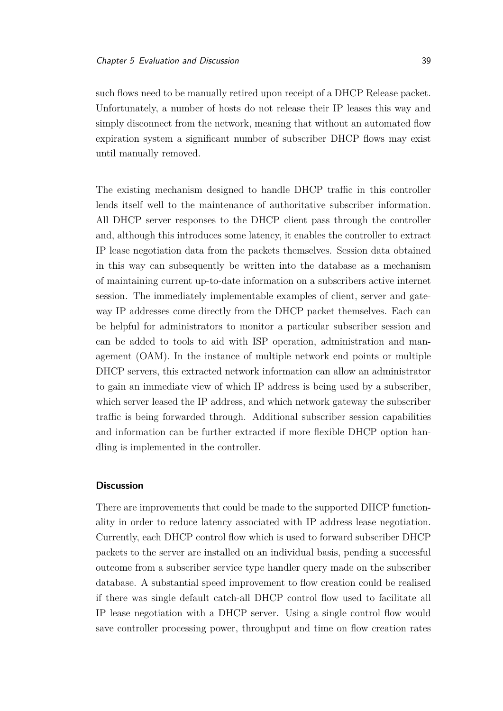such flows need to be manually retired upon receipt of a DHCP Release packet. Unfortunately, a number of hosts do not release their IP leases this way and simply disconnect from the network, meaning that without an automated flow expiration system a significant number of subscriber DHCP flows may exist until manually removed.

The existing mechanism designed to handle DHCP traffic in this controller lends itself well to the maintenance of authoritative subscriber information. All DHCP server responses to the DHCP client pass through the controller and, although this introduces some latency, it enables the controller to extract IP lease negotiation data from the packets themselves. Session data obtained in this way can subsequently be written into the database as a mechanism of maintaining current up-to-date information on a subscribers active internet session. The immediately implementable examples of client, server and gateway IP addresses come directly from the DHCP packet themselves. Each can be helpful for administrators to monitor a particular subscriber session and can be added to tools to aid with ISP operation, administration and management (OAM). In the instance of multiple network end points or multiple DHCP servers, this extracted network information can allow an administrator to gain an immediate view of which IP address is being used by a subscriber, which server leased the IP address, and which network gateway the subscriber traffic is being forwarded through. Additional subscriber session capabilities and information can be further extracted if more flexible DHCP option handling is implemented in the controller.

#### **Discussion**

There are improvements that could be made to the supported DHCP functionality in order to reduce latency associated with IP address lease negotiation. Currently, each DHCP control flow which is used to forward subscriber DHCP packets to the server are installed on an individual basis, pending a successful outcome from a subscriber service type handler query made on the subscriber database. A substantial speed improvement to flow creation could be realised if there was single default catch-all DHCP control flow used to facilitate all IP lease negotiation with a DHCP server. Using a single control flow would save controller processing power, throughput and time on flow creation rates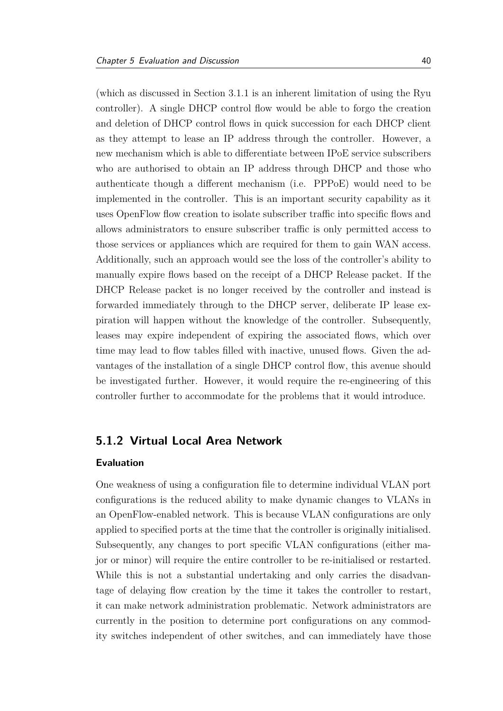(which as discussed in Section [3.1.1](#page-24-0) is an inherent limitation of using the Ryu controller). A single DHCP control flow would be able to forgo the creation and deletion of DHCP control flows in quick succession for each DHCP client as they attempt to lease an IP address through the controller. However, a new mechanism which is able to differentiate between IPoE service subscribers who are authorised to obtain an IP address through DHCP and those who authenticate though a different mechanism (i.e. PPPoE) would need to be implemented in the controller. This is an important security capability as it uses OpenFlow flow creation to isolate subscriber traffic into specific flows and allows administrators to ensure subscriber traffic is only permitted access to those services or appliances which are required for them to gain WAN access. Additionally, such an approach would see the loss of the controller's ability to manually expire flows based on the receipt of a DHCP Release packet. If the DHCP Release packet is no longer received by the controller and instead is forwarded immediately through to the DHCP server, deliberate IP lease expiration will happen without the knowledge of the controller. Subsequently, leases may expire independent of expiring the associated flows, which over time may lead to flow tables filled with inactive, unused flows. Given the advantages of the installation of a single DHCP control flow, this avenue should be investigated further. However, it would require the re-engineering of this controller further to accommodate for the problems that it would introduce.

## **5.1.2 Virtual Local Area Network**

#### **Evaluation**

One weakness of using a configuration file to determine individual VLAN port configurations is the reduced ability to make dynamic changes to VLANs in an OpenFlow-enabled network. This is because VLAN configurations are only applied to specified ports at the time that the controller is originally initialised. Subsequently, any changes to port specific VLAN configurations (either major or minor) will require the entire controller to be re-initialised or restarted. While this is not a substantial undertaking and only carries the disadvantage of delaying flow creation by the time it takes the controller to restart, it can make network administration problematic. Network administrators are currently in the position to determine port configurations on any commodity switches independent of other switches, and can immediately have those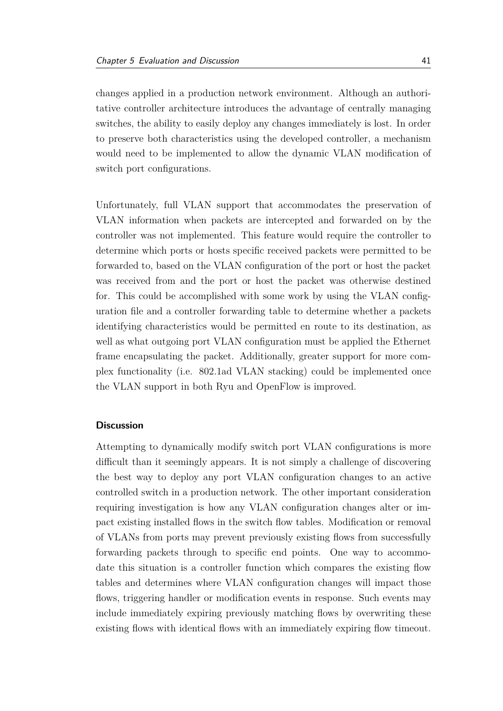changes applied in a production network environment. Although an authoritative controller architecture introduces the advantage of centrally managing switches, the ability to easily deploy any changes immediately is lost. In order to preserve both characteristics using the developed controller, a mechanism would need to be implemented to allow the dynamic VLAN modification of switch port configurations.

Unfortunately, full VLAN support that accommodates the preservation of VLAN information when packets are intercepted and forwarded on by the controller was not implemented. This feature would require the controller to determine which ports or hosts specific received packets were permitted to be forwarded to, based on the VLAN configuration of the port or host the packet was received from and the port or host the packet was otherwise destined for. This could be accomplished with some work by using the VLAN configuration file and a controller forwarding table to determine whether a packets identifying characteristics would be permitted en route to its destination, as well as what outgoing port VLAN configuration must be applied the Ethernet frame encapsulating the packet. Additionally, greater support for more complex functionality (i.e. 802.1ad VLAN stacking) could be implemented once the VLAN support in both Ryu and OpenFlow is improved.

#### **Discussion**

Attempting to dynamically modify switch port VLAN configurations is more difficult than it seemingly appears. It is not simply a challenge of discovering the best way to deploy any port VLAN configuration changes to an active controlled switch in a production network. The other important consideration requiring investigation is how any VLAN configuration changes alter or impact existing installed flows in the switch flow tables. Modification or removal of VLANs from ports may prevent previously existing flows from successfully forwarding packets through to specific end points. One way to accommodate this situation is a controller function which compares the existing flow tables and determines where VLAN configuration changes will impact those flows, triggering handler or modification events in response. Such events may include immediately expiring previously matching flows by overwriting these existing flows with identical flows with an immediately expiring flow timeout.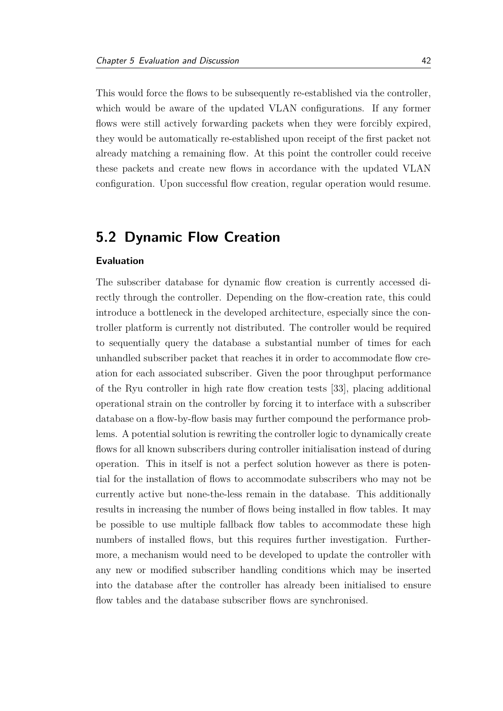This would force the flows to be subsequently re-established via the controller, which would be aware of the updated VLAN configurations. If any former flows were still actively forwarding packets when they were forcibly expired, they would be automatically re-established upon receipt of the first packet not already matching a remaining flow. At this point the controller could receive these packets and create new flows in accordance with the updated VLAN configuration. Upon successful flow creation, regular operation would resume.

# **5.2 Dynamic Flow Creation**

#### **Evaluation**

The subscriber database for dynamic flow creation is currently accessed directly through the controller. Depending on the flow-creation rate, this could introduce a bottleneck in the developed architecture, especially since the controller platform is currently not distributed. The controller would be required to sequentially query the database a substantial number of times for each unhandled subscriber packet that reaches it in order to accommodate flow creation for each associated subscriber. Given the poor throughput performance of the Ryu controller in high rate flow creation tests [\[33\]](#page-71-1), placing additional operational strain on the controller by forcing it to interface with a subscriber database on a flow-by-flow basis may further compound the performance problems. A potential solution is rewriting the controller logic to dynamically create flows for all known subscribers during controller initialisation instead of during operation. This in itself is not a perfect solution however as there is potential for the installation of flows to accommodate subscribers who may not be currently active but none-the-less remain in the database. This additionally results in increasing the number of flows being installed in flow tables. It may be possible to use multiple fallback flow tables to accommodate these high numbers of installed flows, but this requires further investigation. Furthermore, a mechanism would need to be developed to update the controller with any new or modified subscriber handling conditions which may be inserted into the database after the controller has already been initialised to ensure flow tables and the database subscriber flows are synchronised.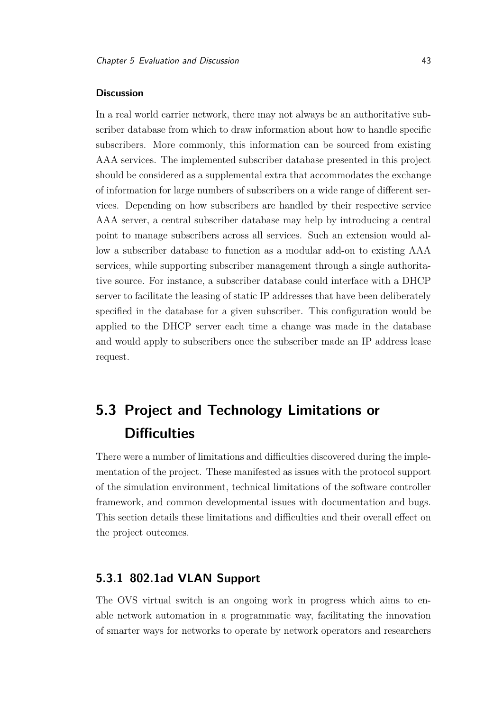#### **Discussion**

In a real world carrier network, there may not always be an authoritative subscriber database from which to draw information about how to handle specific subscribers. More commonly, this information can be sourced from existing AAA services. The implemented subscriber database presented in this project should be considered as a supplemental extra that accommodates the exchange of information for large numbers of subscribers on a wide range of different services. Depending on how subscribers are handled by their respective service AAA server, a central subscriber database may help by introducing a central point to manage subscribers across all services. Such an extension would allow a subscriber database to function as a modular add-on to existing AAA services, while supporting subscriber management through a single authoritative source. For instance, a subscriber database could interface with a DHCP server to facilitate the leasing of static IP addresses that have been deliberately specified in the database for a given subscriber. This configuration would be applied to the DHCP server each time a change was made in the database and would apply to subscribers once the subscriber made an IP address lease request.

# <span id="page-54-1"></span>**5.3 Project and Technology Limitations or Difficulties**

There were a number of limitations and difficulties discovered during the implementation of the project. These manifested as issues with the protocol support of the simulation environment, technical limitations of the software controller framework, and common developmental issues with documentation and bugs. This section details these limitations and difficulties and their overall effect on the project outcomes.

### <span id="page-54-0"></span>**5.3.1 802.1ad VLAN Support**

The OVS virtual switch is an ongoing work in progress which aims to enable network automation in a programmatic way, facilitating the innovation of smarter ways for networks to operate by network operators and researchers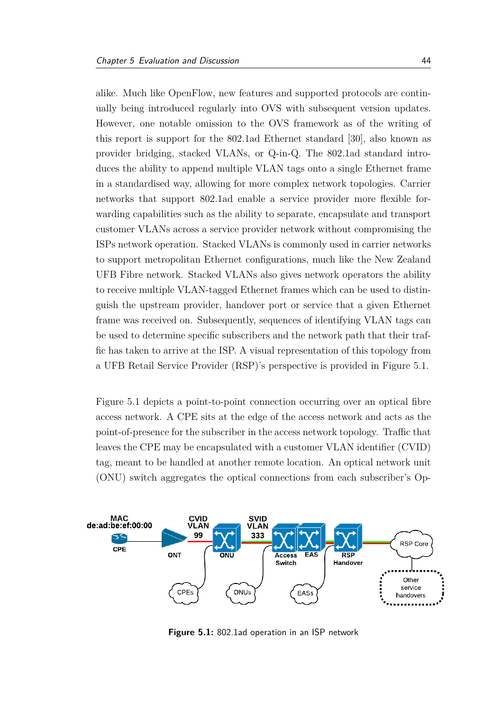alike. Much like OpenFlow, new features and supported protocols are continually being introduced regularly into OVS with subsequent version updates. However, one notable omission to the OVS framework as of the writing of this report is support for the 802.1ad Ethernet standard [\[30\]](#page-71-2), also known as provider bridging, stacked VLANs, or Q-in-Q. The 802.1ad standard introduces the ability to append multiple VLAN tags onto a single Ethernet frame in a standardised way, allowing for more complex network topologies. Carrier networks that support 802.1ad enable a service provider more flexible forwarding capabilities such as the ability to separate, encapsulate and transport customer VLANs across a service provider network without compromising the ISPs network operation. Stacked VLANs is commonly used in carrier networks to support metropolitan Ethernet configurations, much like the New Zealand UFB Fibre network. Stacked VLANs also gives network operators the ability to receive multiple VLAN-tagged Ethernet frames which can be used to distinguish the upstream provider, handover port or service that a given Ethernet frame was received on. Subsequently, sequences of identifying VLAN tags can be used to determine specific subscribers and the network path that their traffic has taken to arrive at the ISP. A visual representation of this topology from a UFB Retail Service Provider (RSP)'s perspective is provided in Figure [5.1.](#page-55-0)

Figure [5.1](#page-55-0) depicts a point-to-point connection occurring over an optical fibre access network. A CPE sits at the edge of the access network and acts as the point-of-presence for the subscriber in the access network topology. Traffic that leaves the CPE may be encapsulated with a customer VLAN identifier (CVID) tag, meant to be handled at another remote location. An optical network unit (ONU) switch aggregates the optical connections from each subscriber's Op-

<span id="page-55-0"></span>

**Figure 5.1:** 802.1ad operation in an ISP network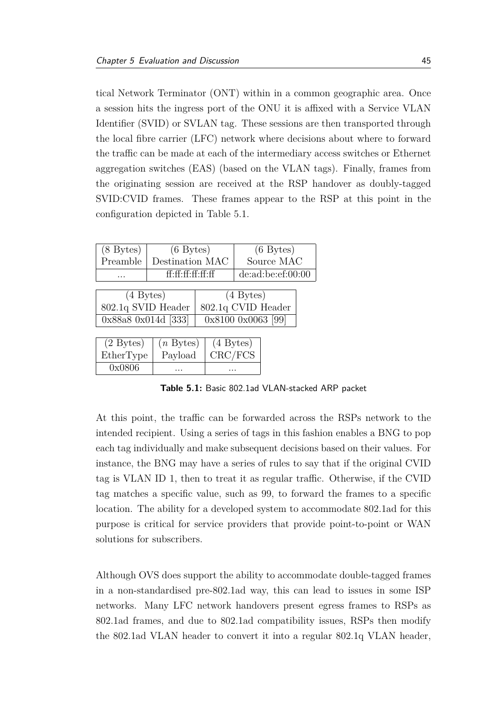tical Network Terminator (ONT) within in a common geographic area. Once a session hits the ingress port of the ONU it is affixed with a Service VLAN Identifier (SVID) or SVLAN tag. These sessions are then transported through the local fibre carrier (LFC) network where decisions about where to forward the traffic can be made at each of the intermediary access switches or Ethernet aggregation switches (EAS) (based on the VLAN tags). Finally, frames from the originating session are received at the RSP handover as doubly-tagged SVID:CVID frames. These frames appear to the RSP at this point in the configuration depicted in Table [5.1.](#page-56-0)

<span id="page-56-0"></span>

| $(8 \text{Bytes})$  |                    | $(6 \text{Bytes})$ |                    | $(6 \text{Bytes})$ |  |
|---------------------|--------------------|--------------------|--------------------|--------------------|--|
| Preamble            |                    | Destination MAC    |                    | Source MAC         |  |
|                     |                    | ff·ff·ff·ff·ff·ff  |                    | de:ad:be:ef:00:00  |  |
|                     |                    |                    |                    |                    |  |
| $(4 \text{Bytes})$  |                    |                    | $(4 \text{Bytes})$ |                    |  |
|                     | 802.1q SVID Header |                    | 802.1q CVID Header |                    |  |
| 0x88a8 0x014d [333] |                    | 0x8100 0x0063 [99] |                    |                    |  |
|                     |                    |                    |                    |                    |  |
| $(2 \text{Bytes})$  | $(n$ Bytes)        | $(4 \text{Bytes})$ |                    |                    |  |
| EtherType           | Payload            | CRC/FCS            |                    |                    |  |
| 0x0806              |                    |                    |                    |                    |  |

**Table 5.1:** Basic 802.1ad VLAN-stacked ARP packet

At this point, the traffic can be forwarded across the RSPs network to the intended recipient. Using a series of tags in this fashion enables a BNG to pop each tag individually and make subsequent decisions based on their values. For instance, the BNG may have a series of rules to say that if the original CVID tag is VLAN ID 1, then to treat it as regular traffic. Otherwise, if the CVID tag matches a specific value, such as 99, to forward the frames to a specific location. The ability for a developed system to accommodate 802.1ad for this purpose is critical for service providers that provide point-to-point or WAN solutions for subscribers.

Although OVS does support the ability to accommodate double-tagged frames in a non-standardised pre-802.1ad way, this can lead to issues in some ISP networks. Many LFC network handovers present egress frames to RSPs as 802.1ad frames, and due to 802.1ad compatibility issues, RSPs then modify the 802.1ad VLAN header to convert it into a regular 802.1q VLAN header,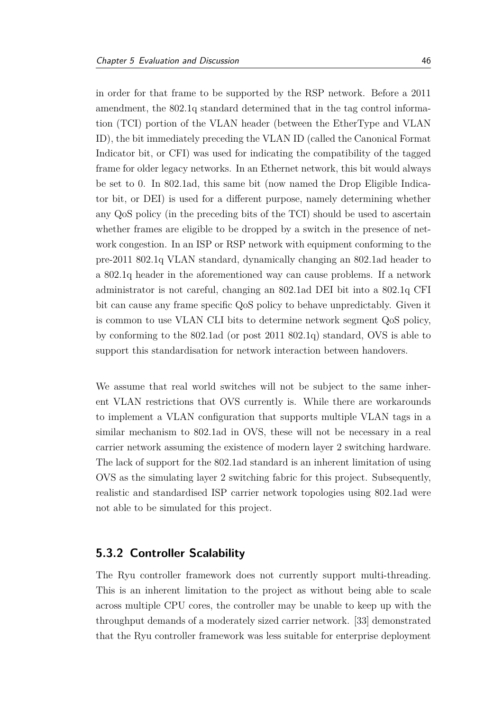in order for that frame to be supported by the RSP network. Before a 2011 amendment, the 802.1q standard determined that in the tag control information (TCI) portion of the VLAN header (between the EtherType and VLAN ID), the bit immediately preceding the VLAN ID (called the Canonical Format Indicator bit, or CFI) was used for indicating the compatibility of the tagged frame for older legacy networks. In an Ethernet network, this bit would always be set to 0. In 802.1ad, this same bit (now named the Drop Eligible Indicator bit, or DEI) is used for a different purpose, namely determining whether any QoS policy (in the preceding bits of the TCI) should be used to ascertain whether frames are eligible to be dropped by a switch in the presence of network congestion. In an ISP or RSP network with equipment conforming to the pre-2011 802.1q VLAN standard, dynamically changing an 802.1ad header to a 802.1q header in the aforementioned way can cause problems. If a network administrator is not careful, changing an 802.1ad DEI bit into a 802.1q CFI bit can cause any frame specific QoS policy to behave unpredictably. Given it is common to use VLAN CLI bits to determine network segment QoS policy, by conforming to the 802.1ad (or post 2011 802.1q) standard, OVS is able to support this standardisation for network interaction between handovers.

We assume that real world switches will not be subject to the same inherent VLAN restrictions that OVS currently is. While there are workarounds to implement a VLAN configuration that supports multiple VLAN tags in a similar mechanism to 802.1ad in OVS, these will not be necessary in a real carrier network assuming the existence of modern layer 2 switching hardware. The lack of support for the 802.1ad standard is an inherent limitation of using OVS as the simulating layer 2 switching fabric for this project. Subsequently, realistic and standardised ISP carrier network topologies using 802.1ad were not able to be simulated for this project.

## <span id="page-57-0"></span>**5.3.2 Controller Scalability**

The Ryu controller framework does not currently support multi-threading. This is an inherent limitation to the project as without being able to scale across multiple CPU cores, the controller may be unable to keep up with the throughput demands of a moderately sized carrier network. [\[33\]](#page-71-1) demonstrated that the Ryu controller framework was less suitable for enterprise deployment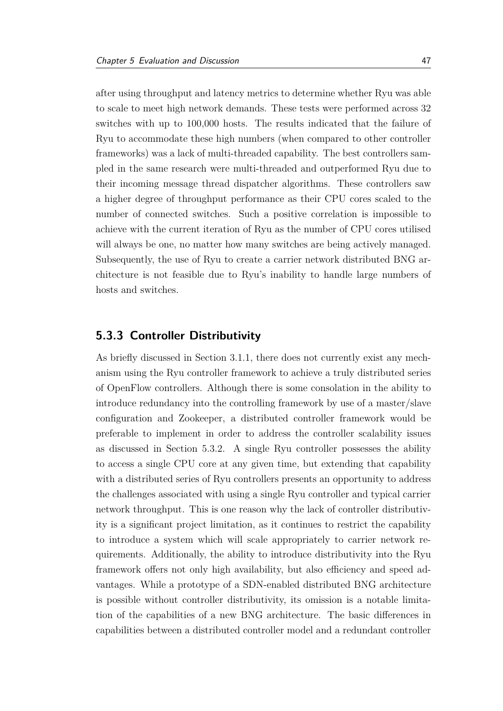after using throughput and latency metrics to determine whether Ryu was able to scale to meet high network demands. These tests were performed across 32 switches with up to 100,000 hosts. The results indicated that the failure of Ryu to accommodate these high numbers (when compared to other controller frameworks) was a lack of multi-threaded capability. The best controllers sampled in the same research were multi-threaded and outperformed Ryu due to their incoming message thread dispatcher algorithms. These controllers saw a higher degree of throughput performance as their CPU cores scaled to the number of connected switches. Such a positive correlation is impossible to achieve with the current iteration of Ryu as the number of CPU cores utilised will always be one, no matter how many switches are being actively managed. Subsequently, the use of Ryu to create a carrier network distributed BNG architecture is not feasible due to Ryu's inability to handle large numbers of hosts and switches.

### **5.3.3 Controller Distributivity**

As briefly discussed in Section [3.1.1,](#page-24-0) there does not currently exist any mechanism using the Ryu controller framework to achieve a truly distributed series of OpenFlow controllers. Although there is some consolation in the ability to introduce redundancy into the controlling framework by use of a master/slave configuration and Zookeeper, a distributed controller framework would be preferable to implement in order to address the controller scalability issues as discussed in Section [5.3.2.](#page-57-0) A single Ryu controller possesses the ability to access a single CPU core at any given time, but extending that capability with a distributed series of Ryu controllers presents an opportunity to address the challenges associated with using a single Ryu controller and typical carrier network throughput. This is one reason why the lack of controller distributivity is a significant project limitation, as it continues to restrict the capability to introduce a system which will scale appropriately to carrier network requirements. Additionally, the ability to introduce distributivity into the Ryu framework offers not only high availability, but also efficiency and speed advantages. While a prototype of a SDN-enabled distributed BNG architecture is possible without controller distributivity, its omission is a notable limitation of the capabilities of a new BNG architecture. The basic differences in capabilities between a distributed controller model and a redundant controller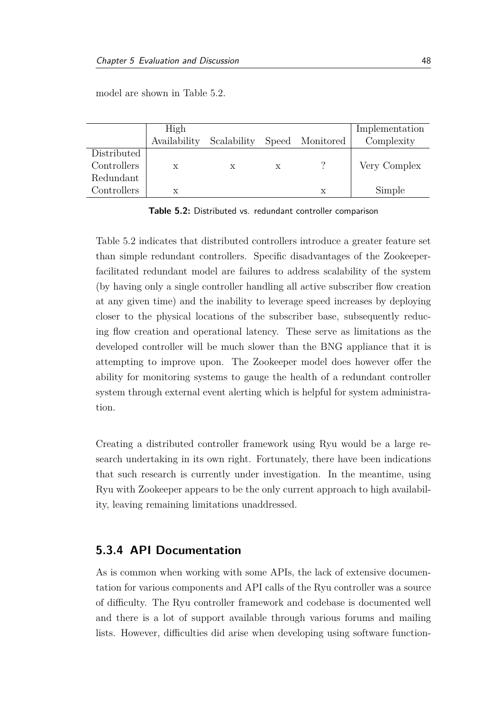model are shown in Table [5.2.](#page-59-0)

<span id="page-59-0"></span>

|             | High         |             |   |                 | Implementation |
|-------------|--------------|-------------|---|-----------------|----------------|
|             | Availability | Scalability |   | Speed Monitored | Complexity     |
| Distributed |              |             |   |                 |                |
| Controllers | X            | X           | X |                 | Very Complex   |
| Redundant   |              |             |   |                 |                |
| Controllers | X            |             |   | х               | Simple         |

**Table 5.2:** Distributed vs. redundant controller comparison

Table [5.2](#page-59-0) indicates that distributed controllers introduce a greater feature set than simple redundant controllers. Specific disadvantages of the Zookeeperfacilitated redundant model are failures to address scalability of the system (by having only a single controller handling all active subscriber flow creation at any given time) and the inability to leverage speed increases by deploying closer to the physical locations of the subscriber base, subsequently reducing flow creation and operational latency. These serve as limitations as the developed controller will be much slower than the BNG appliance that it is attempting to improve upon. The Zookeeper model does however offer the ability for monitoring systems to gauge the health of a redundant controller system through external event alerting which is helpful for system administration.

Creating a distributed controller framework using Ryu would be a large research undertaking in its own right. Fortunately, there have been indications that such research is currently under investigation. In the meantime, using Ryu with Zookeeper appears to be the only current approach to high availability, leaving remaining limitations unaddressed.

### **5.3.4 API Documentation**

As is common when working with some APIs, the lack of extensive documentation for various components and API calls of the Ryu controller was a source of difficulty. The Ryu controller framework and codebase is documented well and there is a lot of support available through various forums and mailing lists. However, difficulties did arise when developing using software function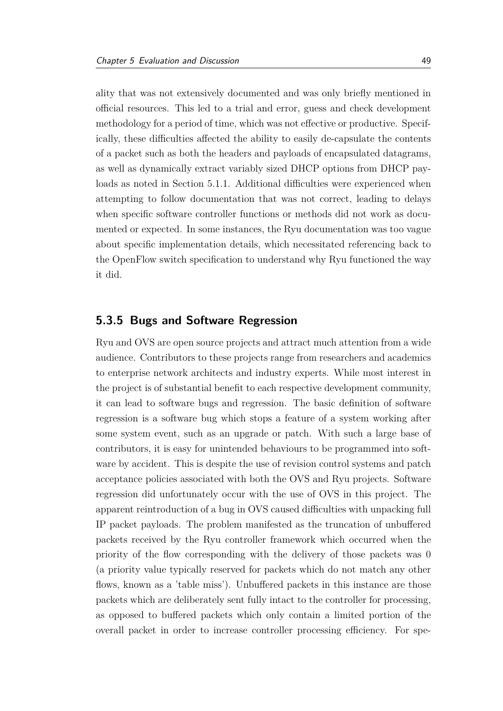ality that was not extensively documented and was only briefly mentioned in official resources. This led to a trial and error, guess and check development methodology for a period of time, which was not effective or productive. Specifically, these difficulties affected the ability to easily de-capsulate the contents of a packet such as both the headers and payloads of encapsulated datagrams, as well as dynamically extract variably sized DHCP options from DHCP payloads as noted in Section [5.1.1.](#page-49-0) Additional difficulties were experienced when attempting to follow documentation that was not correct, leading to delays when specific software controller functions or methods did not work as documented or expected. In some instances, the Ryu documentation was too vague about specific implementation details, which necessitated referencing back to the OpenFlow switch specification to understand why Ryu functioned the way it did.

## **5.3.5 Bugs and Software Regression**

Ryu and OVS are open source projects and attract much attention from a wide audience. Contributors to these projects range from researchers and academics to enterprise network architects and industry experts. While most interest in the project is of substantial benefit to each respective development community, it can lead to software bugs and regression. The basic definition of software regression is a software bug which stops a feature of a system working after some system event, such as an upgrade or patch. With such a large base of contributors, it is easy for unintended behaviours to be programmed into software by accident. This is despite the use of revision control systems and patch acceptance policies associated with both the OVS and Ryu projects. Software regression did unfortunately occur with the use of OVS in this project. The apparent reintroduction of a bug in OVS caused difficulties with unpacking full IP packet payloads. The problem manifested as the truncation of unbuffered packets received by the Ryu controller framework which occurred when the priority of the flow corresponding with the delivery of those packets was 0 (a priority value typically reserved for packets which do not match any other flows, known as a 'table miss'). Unbuffered packets in this instance are those packets which are deliberately sent fully intact to the controller for processing, as opposed to buffered packets which only contain a limited portion of the overall packet in order to increase controller processing efficiency. For spe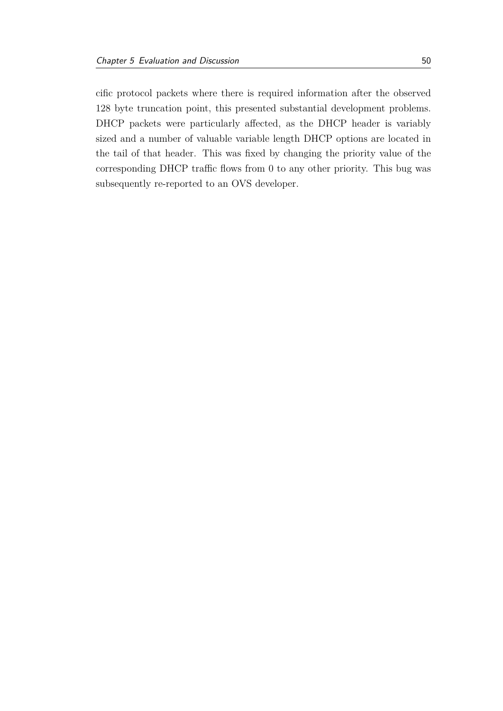cific protocol packets where there is required information after the observed 128 byte truncation point, this presented substantial development problems. DHCP packets were particularly affected, as the DHCP header is variably sized and a number of valuable variable length DHCP options are located in the tail of that header. This was fixed by changing the priority value of the corresponding DHCP traffic flows from 0 to any other priority. This bug was subsequently re-reported to an OVS developer.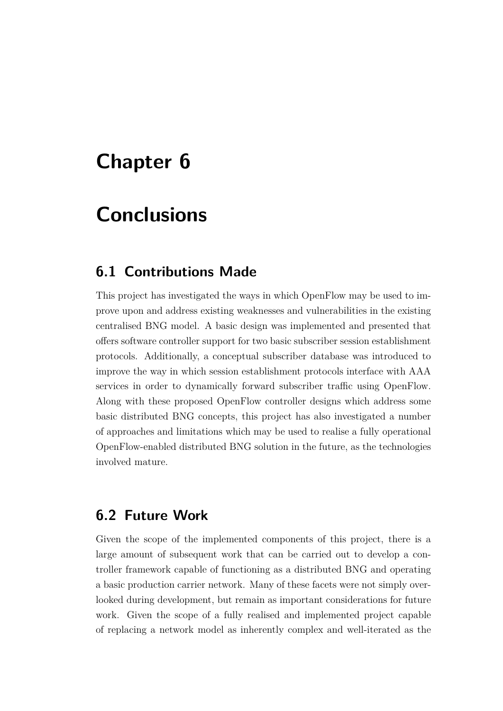# **Chapter 6**

# **Conclusions**

# **6.1 Contributions Made**

This project has investigated the ways in which OpenFlow may be used to improve upon and address existing weaknesses and vulnerabilities in the existing centralised BNG model. A basic design was implemented and presented that offers software controller support for two basic subscriber session establishment protocols. Additionally, a conceptual subscriber database was introduced to improve the way in which session establishment protocols interface with AAA services in order to dynamically forward subscriber traffic using OpenFlow. Along with these proposed OpenFlow controller designs which address some basic distributed BNG concepts, this project has also investigated a number of approaches and limitations which may be used to realise a fully operational OpenFlow-enabled distributed BNG solution in the future, as the technologies involved mature.

# **6.2 Future Work**

Given the scope of the implemented components of this project, there is a large amount of subsequent work that can be carried out to develop a controller framework capable of functioning as a distributed BNG and operating a basic production carrier network. Many of these facets were not simply overlooked during development, but remain as important considerations for future work. Given the scope of a fully realised and implemented project capable of replacing a network model as inherently complex and well-iterated as the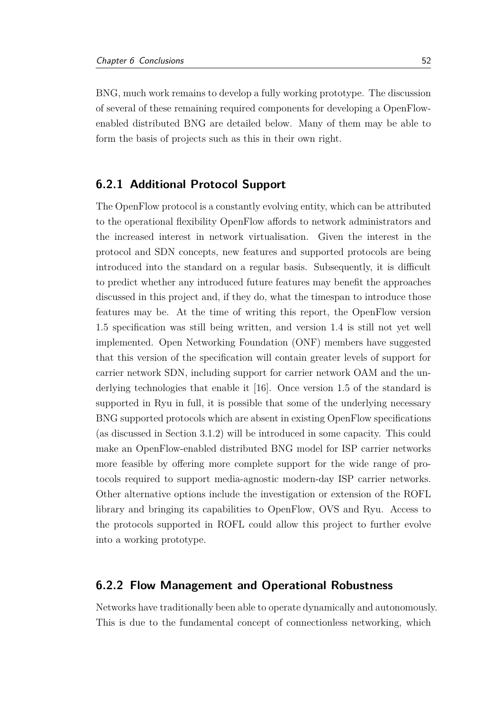BNG, much work remains to develop a fully working prototype. The discussion of several of these remaining required components for developing a OpenFlowenabled distributed BNG are detailed below. Many of them may be able to form the basis of projects such as this in their own right.

### **6.2.1 Additional Protocol Support**

The OpenFlow protocol is a constantly evolving entity, which can be attributed to the operational flexibility OpenFlow affords to network administrators and the increased interest in network virtualisation. Given the interest in the protocol and SDN concepts, new features and supported protocols are being introduced into the standard on a regular basis. Subsequently, it is difficult to predict whether any introduced future features may benefit the approaches discussed in this project and, if they do, what the timespan to introduce those features may be. At the time of writing this report, the OpenFlow version 1.5 specification was still being written, and version 1.4 is still not yet well implemented. Open Networking Foundation (ONF) members have suggested that this version of the specification will contain greater levels of support for carrier network SDN, including support for carrier network OAM and the underlying technologies that enable it [\[16\]](#page-69-0). Once version 1.5 of the standard is supported in Ryu in full, it is possible that some of the underlying necessary BNG supported protocols which are absent in existing OpenFlow specifications (as discussed in Section [3.1.2\)](#page-28-0) will be introduced in some capacity. This could make an OpenFlow-enabled distributed BNG model for ISP carrier networks more feasible by offering more complete support for the wide range of protocols required to support media-agnostic modern-day ISP carrier networks. Other alternative options include the investigation or extension of the ROFL library and bringing its capabilities to OpenFlow, OVS and Ryu. Access to the protocols supported in ROFL could allow this project to further evolve into a working prototype.

### **6.2.2 Flow Management and Operational Robustness**

Networks have traditionally been able to operate dynamically and autonomously. This is due to the fundamental concept of connectionless networking, which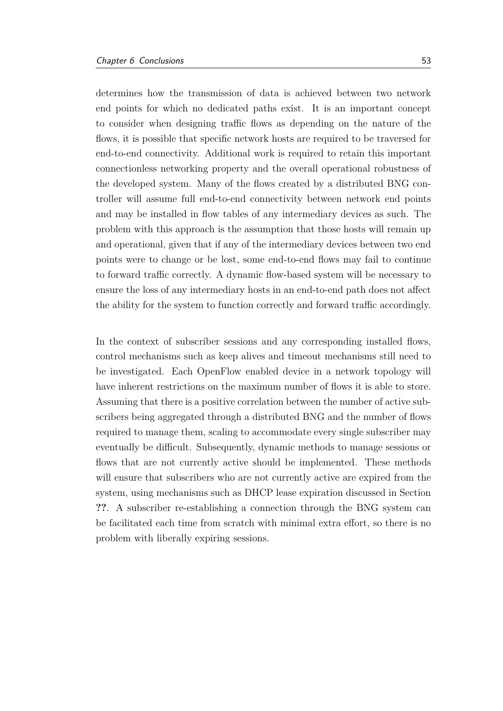determines how the transmission of data is achieved between two network end points for which no dedicated paths exist. It is an important concept to consider when designing traffic flows as depending on the nature of the flows, it is possible that specific network hosts are required to be traversed for end-to-end connectivity. Additional work is required to retain this important connectionless networking property and the overall operational robustness of the developed system. Many of the flows created by a distributed BNG controller will assume full end-to-end connectivity between network end points and may be installed in flow tables of any intermediary devices as such. The problem with this approach is the assumption that those hosts will remain up and operational, given that if any of the intermediary devices between two end points were to change or be lost, some end-to-end flows may fail to continue to forward traffic correctly. A dynamic flow-based system will be necessary to ensure the loss of any intermediary hosts in an end-to-end path does not affect the ability for the system to function correctly and forward traffic accordingly.

In the context of subscriber sessions and any corresponding installed flows, control mechanisms such as keep alives and timeout mechanisms still need to be investigated. Each OpenFlow enabled device in a network topology will have inherent restrictions on the maximum number of flows it is able to store. Assuming that there is a positive correlation between the number of active subscribers being aggregated through a distributed BNG and the number of flows required to manage them, scaling to accommodate every single subscriber may eventually be difficult. Subsequently, dynamic methods to manage sessions or flows that are not currently active should be implemented. These methods will ensure that subscribers who are not currently active are expired from the system, using mechanisms such as DHCP lease expiration discussed in Section **??**. A subscriber re-establishing a connection through the BNG system can be facilitated each time from scratch with minimal extra effort, so there is no problem with liberally expiring sessions.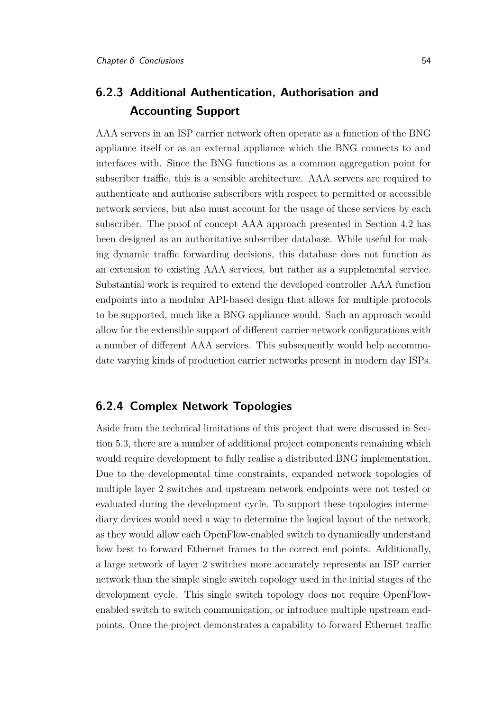# **6.2.3 Additional Authentication, Authorisation and Accounting Support**

AAA servers in an ISP carrier network often operate as a function of the BNG appliance itself or as an external appliance which the BNG connects to and interfaces with. Since the BNG functions as a common aggregation point for subscriber traffic, this is a sensible architecture. AAA servers are required to authenticate and authorise subscribers with respect to permitted or accessible network services, but also must account for the usage of those services by each subscriber. The proof of concept AAA approach presented in Section [4.2](#page-43-0) has been designed as an authoritative subscriber database. While useful for making dynamic traffic forwarding decisions, this database does not function as an extension to existing AAA services, but rather as a supplemental service. Substantial work is required to extend the developed controller AAA function endpoints into a modular API-based design that allows for multiple protocols to be supported, much like a BNG appliance would. Such an approach would allow for the extensible support of different carrier network configurations with a number of different AAA services. This subsequently would help accommodate varying kinds of production carrier networks present in modern day ISPs.

### **6.2.4 Complex Network Topologies**

Aside from the technical limitations of this project that were discussed in Section [5.3,](#page-54-1) there are a number of additional project components remaining which would require development to fully realise a distributed BNG implementation. Due to the developmental time constraints, expanded network topologies of multiple layer 2 switches and upstream network endpoints were not tested or evaluated during the development cycle. To support these topologies intermediary devices would need a way to determine the logical layout of the network, as they would allow each OpenFlow-enabled switch to dynamically understand how best to forward Ethernet frames to the correct end points. Additionally, a large network of layer 2 switches more accurately represents an ISP carrier network than the simple single switch topology used in the initial stages of the development cycle. This single switch topology does not require OpenFlowenabled switch to switch communication, or introduce multiple upstream endpoints. Once the project demonstrates a capability to forward Ethernet traffic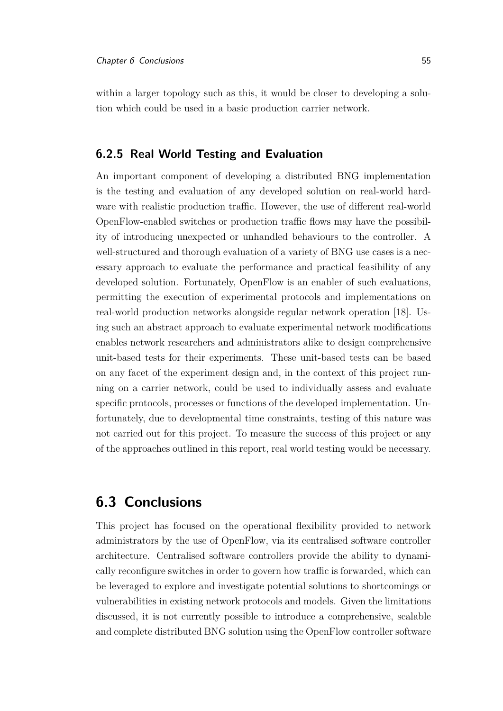within a larger topology such as this, it would be closer to developing a solution which could be used in a basic production carrier network.

### **6.2.5 Real World Testing and Evaluation**

An important component of developing a distributed BNG implementation is the testing and evaluation of any developed solution on real-world hardware with realistic production traffic. However, the use of different real-world OpenFlow-enabled switches or production traffic flows may have the possibility of introducing unexpected or unhandled behaviours to the controller. A well-structured and thorough evaluation of a variety of BNG use cases is a necessary approach to evaluate the performance and practical feasibility of any developed solution. Fortunately, OpenFlow is an enabler of such evaluations, permitting the execution of experimental protocols and implementations on real-world production networks alongside regular network operation [\[18\]](#page-69-1). Using such an abstract approach to evaluate experimental network modifications enables network researchers and administrators alike to design comprehensive unit-based tests for their experiments. These unit-based tests can be based on any facet of the experiment design and, in the context of this project running on a carrier network, could be used to individually assess and evaluate specific protocols, processes or functions of the developed implementation. Unfortunately, due to developmental time constraints, testing of this nature was not carried out for this project. To measure the success of this project or any of the approaches outlined in this report, real world testing would be necessary.

# **6.3 Conclusions**

This project has focused on the operational flexibility provided to network administrators by the use of OpenFlow, via its centralised software controller architecture. Centralised software controllers provide the ability to dynamically reconfigure switches in order to govern how traffic is forwarded, which can be leveraged to explore and investigate potential solutions to shortcomings or vulnerabilities in existing network protocols and models. Given the limitations discussed, it is not currently possible to introduce a comprehensive, scalable and complete distributed BNG solution using the OpenFlow controller software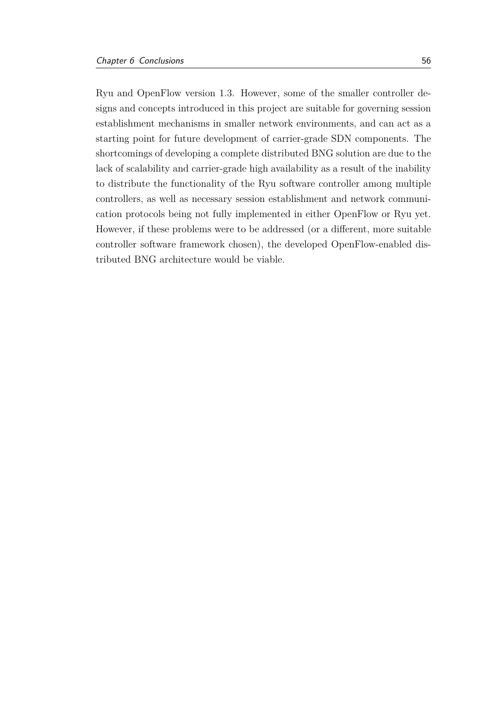Ryu and OpenFlow version 1.3. However, some of the smaller controller designs and concepts introduced in this project are suitable for governing session establishment mechanisms in smaller network environments, and can act as a starting point for future development of carrier-grade SDN components. The shortcomings of developing a complete distributed BNG solution are due to the lack of scalability and carrier-grade high availability as a result of the inability to distribute the functionality of the Ryu software controller among multiple controllers, as well as necessary session establishment and network communication protocols being not fully implemented in either OpenFlow or Ryu yet. However, if these problems were to be addressed (or a different, more suitable controller software framework chosen), the developed OpenFlow-enabled distributed BNG architecture would be viable.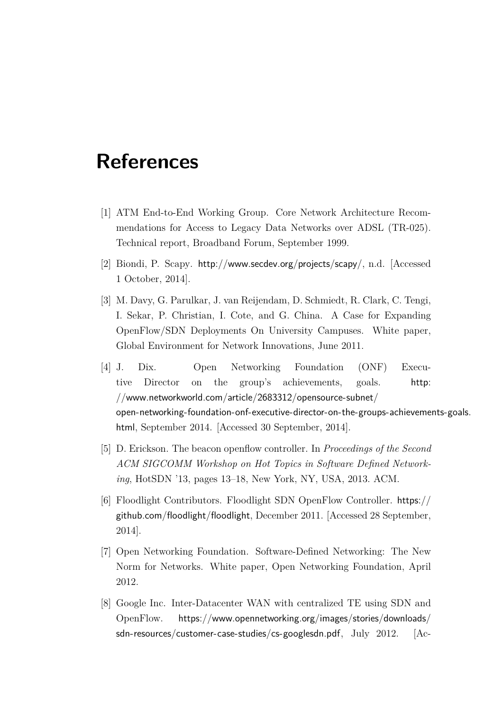# **References**

- [1] ATM End-to-End Working Group. Core Network Architecture Recommendations for Access to Legacy Data Networks over ADSL (TR-025). Technical report, Broadband Forum, September 1999.
- [2] Biondi, P. Scapy. <http://www.secdev.org/projects/scapy/>, n.d. [Accessed 1 October, 2014].
- [3] M. Davy, G. Parulkar, J. van Reijendam, D. Schmiedt, R. Clark, C. Tengi, I. Sekar, P. Christian, I. Cote, and G. China. A Case for Expanding OpenFlow/SDN Deployments On University Campuses. White paper, Global Environment for Network Innovations, June 2011.
- [4] J. Dix. Open Networking Foundation (ONF) Executive Director on the group's achievements, goals. [http:](http://www.networkworld.com/article/2683312/opensource-subnet/open-networking-foundation-onf-executive-director-on-the-groups-achievements-goals.html) [//www.networkworld.com/article/2683312/opensource-subnet/](http://www.networkworld.com/article/2683312/opensource-subnet/open-networking-foundation-onf-executive-director-on-the-groups-achievements-goals.html) [open-networking-foundation-onf-executive-director-on-the-groups-achievemen](http://www.networkworld.com/article/2683312/opensource-subnet/open-networking-foundation-onf-executive-director-on-the-groups-achievements-goals.html)ts-goals. [html](http://www.networkworld.com/article/2683312/opensource-subnet/open-networking-foundation-onf-executive-director-on-the-groups-achievements-goals.html), September 2014. [Accessed 30 September, 2014].
- [5] D. Erickson. The beacon openflow controller. In *Proceedings of the Second ACM SIGCOMM Workshop on Hot Topics in Software Defined Networking*, HotSDN '13, pages 13–18, New York, NY, USA, 2013. ACM.
- [6] Floodlight Contributors. Floodlight SDN OpenFlow Controller. [https://](https://github.com/floodlight/floodlight) [github.com/floodlight/floodlight](https://github.com/floodlight/floodlight), December 2011. [Accessed 28 September, 2014].
- [7] Open Networking Foundation. Software-Defined Networking: The New Norm for Networks. White paper, Open Networking Foundation, April 2012.
- [8] Google Inc. Inter-Datacenter WAN with centralized TE using SDN and OpenFlow. [https://www.opennetworking.org/images/stories/downloads/](https://www.opennetworking.org/images/stories/downloads/sdn-resources/customer-case-studies/cs-googlesdn.pdf) [sdn-resources/customer-case-studies/cs-googlesdn.pdf](https://www.opennetworking.org/images/stories/downloads/sdn-resources/customer-case-studies/cs-googlesdn.pdf), July 2012. [Ac-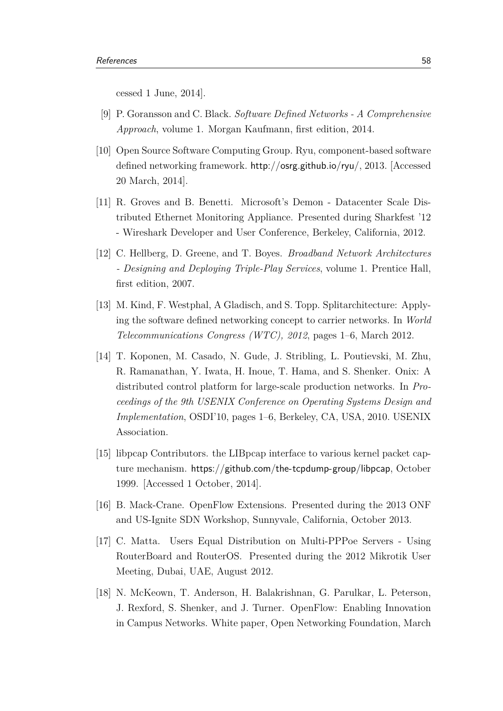cessed 1 June, 2014].

- [9] P. Goransson and C. Black. *Software Defined Networks A Comprehensive Approach*, volume 1. Morgan Kaufmann, first edition, 2014.
- [10] Open Source Software Computing Group. Ryu, component-based software defined networking framework. <http://osrg.github.io/ryu/>, 2013. [Accessed 20 March, 2014].
- [11] R. Groves and B. Benetti. Microsoft's Demon Datacenter Scale Distributed Ethernet Monitoring Appliance. Presented during Sharkfest '12 - Wireshark Developer and User Conference, Berkeley, California, 2012.
- [12] C. Hellberg, D. Greene, and T. Boyes. *Broadband Network Architectures - Designing and Deploying Triple-Play Services*, volume 1. Prentice Hall, first edition, 2007.
- [13] M. Kind, F. Westphal, A Gladisch, and S. Topp. Splitarchitecture: Applying the software defined networking concept to carrier networks. In *World Telecommunications Congress (WTC), 2012*, pages 1–6, March 2012.
- [14] T. Koponen, M. Casado, N. Gude, J. Stribling, L. Poutievski, M. Zhu, R. Ramanathan, Y. Iwata, H. Inoue, T. Hama, and S. Shenker. Onix: A distributed control platform for large-scale production networks. In *Proceedings of the 9th USENIX Conference on Operating Systems Design and Implementation*, OSDI'10, pages 1–6, Berkeley, CA, USA, 2010. USENIX Association.
- [15] libpcap Contributors. the LIBpcap interface to various kernel packet capture mechanism. <https://github.com/the-tcpdump-group/libpcap>, October 1999. [Accessed 1 October, 2014].
- <span id="page-69-0"></span>[16] B. Mack-Crane. OpenFlow Extensions. Presented during the 2013 ONF and US-Ignite SDN Workshop, Sunnyvale, California, October 2013.
- [17] C. Matta. Users Equal Distribution on Multi-PPPoe Servers Using RouterBoard and RouterOS. Presented during the 2012 Mikrotik User Meeting, Dubai, UAE, August 2012.
- <span id="page-69-1"></span>[18] N. McKeown, T. Anderson, H. Balakrishnan, G. Parulkar, L. Peterson, J. Rexford, S. Shenker, and J. Turner. OpenFlow: Enabling Innovation in Campus Networks. White paper, Open Networking Foundation, March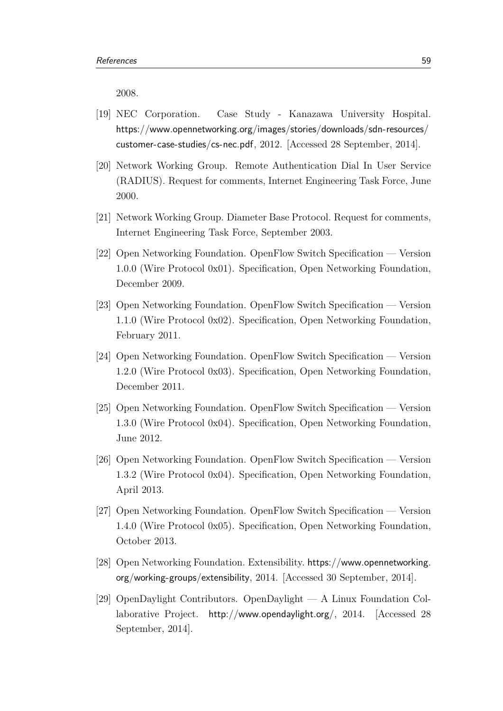2008.

- [19] NEC Corporation. Case Study Kanazawa University Hospital. [https://www.opennetworking.org/images/stories/downloads/sdn-resources/](https://www.opennetworking.org/images/stories/downloads/sdn-resources/customer-case-studies/cs-nec.pdf) [customer-case-studies/cs-nec.pdf](https://www.opennetworking.org/images/stories/downloads/sdn-resources/customer-case-studies/cs-nec.pdf), 2012. [Accessed 28 September, 2014].
- <span id="page-70-0"></span>[20] Network Working Group. Remote Authentication Dial In User Service (RADIUS). Request for comments, Internet Engineering Task Force, June 2000.
- <span id="page-70-1"></span>[21] Network Working Group. Diameter Base Protocol. Request for comments, Internet Engineering Task Force, September 2003.
- [22] Open Networking Foundation. OpenFlow Switch Specification Version 1.0.0 (Wire Protocol 0x01). Specification, Open Networking Foundation, December 2009.
- [23] Open Networking Foundation. OpenFlow Switch Specification Version 1.1.0 (Wire Protocol 0x02). Specification, Open Networking Foundation, February 2011.
- [24] Open Networking Foundation. OpenFlow Switch Specification Version 1.2.0 (Wire Protocol 0x03). Specification, Open Networking Foundation, December 2011.
- [25] Open Networking Foundation. OpenFlow Switch Specification Version 1.3.0 (Wire Protocol 0x04). Specification, Open Networking Foundation, June 2012.
- [26] Open Networking Foundation. OpenFlow Switch Specification Version 1.3.2 (Wire Protocol 0x04). Specification, Open Networking Foundation, April 2013.
- [27] Open Networking Foundation. OpenFlow Switch Specification Version 1.4.0 (Wire Protocol 0x05). Specification, Open Networking Foundation, October 2013.
- [28] Open Networking Foundation. Extensibility. [https://www.opennetworking.](https://www.opennetworking.org/working-groups/extensibility) [org/working-groups/extensibility](https://www.opennetworking.org/working-groups/extensibility), 2014. [Accessed 30 September, 2014].
- [29] OpenDaylight Contributors. OpenDaylight A Linux Foundation Collaborative Project. <http://www.opendaylight.org/>, 2014. [Accessed 28 September, 2014].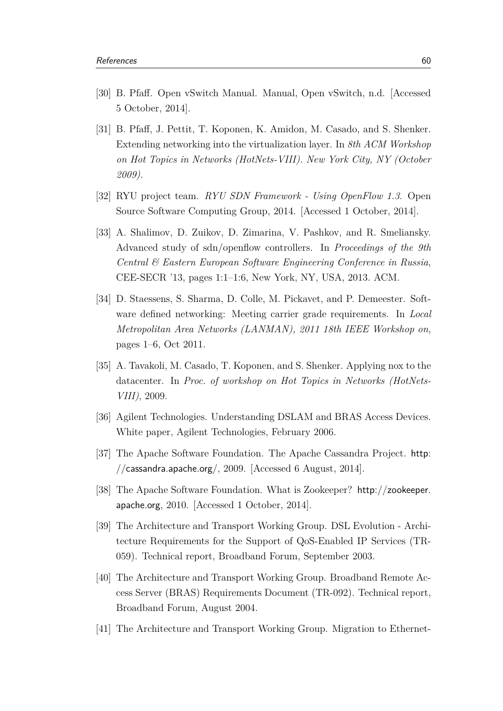- <span id="page-71-2"></span>[30] B. Pfaff. Open vSwitch Manual. Manual, Open vSwitch, n.d. [Accessed 5 October, 2014].
- [31] B. Pfaff, J. Pettit, T. Koponen, K. Amidon, M. Casado, and S. Shenker. Extending networking into the virtualization layer. In *8th ACM Workshop on Hot Topics in Networks (HotNets-VIII). New York City, NY (October 2009)*.
- [32] RYU project team. *RYU SDN Framework Using OpenFlow 1.3*. Open Source Software Computing Group, 2014. [Accessed 1 October, 2014].
- <span id="page-71-1"></span>[33] A. Shalimov, D. Zuikov, D. Zimarina, V. Pashkov, and R. Smeliansky. Advanced study of sdn/openflow controllers. In *Proceedings of the 9th Central & Eastern European Software Engineering Conference in Russia*, CEE-SECR '13, pages 1:1–1:6, New York, NY, USA, 2013. ACM.
- [34] D. Staessens, S. Sharma, D. Colle, M. Pickavet, and P. Demeester. Software defined networking: Meeting carrier grade requirements. In *Local Metropolitan Area Networks (LANMAN), 2011 18th IEEE Workshop on*, pages 1–6, Oct 2011.
- [35] A. Tavakoli, M. Casado, T. Koponen, and S. Shenker. Applying nox to the datacenter. In *Proc. of workshop on Hot Topics in Networks (HotNets-VIII)*, 2009.
- [36] Agilent Technologies. Understanding DSLAM and BRAS Access Devices. White paper, Agilent Technologies, February 2006.
- <span id="page-71-0"></span>[37] The Apache Software Foundation. The Apache Cassandra Project. [http:](http://cassandra.apache.org/) [//cassandra.apache.org/](http://cassandra.apache.org/), 2009. [Accessed 6 August, 2014].
- [38] The Apache Software Foundation. What is Zookeeper? [http://zookeeper.](http://zookeeper.apache.org) [apache.org](http://zookeeper.apache.org), 2010. [Accessed 1 October, 2014].
- [39] The Architecture and Transport Working Group. DSL Evolution Architecture Requirements for the Support of QoS-Enabled IP Services (TR-059). Technical report, Broadband Forum, September 2003.
- [40] The Architecture and Transport Working Group. Broadband Remote Access Server (BRAS) Requirements Document (TR-092). Technical report, Broadband Forum, August 2004.
- [41] The Architecture and Transport Working Group. Migration to Ethernet-